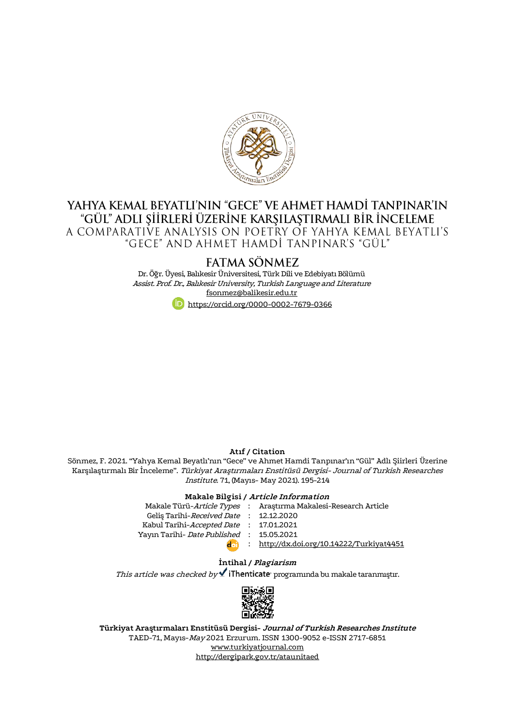

# YAHYA KEMAL BEYATLI'NIN "GECE" VE AHMET HAMDİ TANPINAR'IN "GÜL" ADLI ŞİİRLERİ ÜZERİNE KARŞILAŞTIRMALI BİR İNCELEME A COMPARATIVE ANALYSIS ON POETRY OF YAHYA KEMAL BEYATLI'S "GECE" AND AHMET HAMDI TANPINAR'S "GÜL'

# FATMA SÖNMEZ

Dr. Öğr. Üyesi, Balıkesir Üniversitesi, Türk Dili ve Edebiyatı Bölümü Assist. Prof. Dr., Balıkesir University, Turkish Language and Literature [fsonmez@balikesir.edu.tr](mailto:fsonmez@balikesir.edu.tr) <https://orcid.org/0000-0002-7679-0366>

#### **Atıf / Citation**

Sönmez, F. 2021. "Yahya Kemal Beyatlı'nın "Gece" ve Ahmet Hamdi Tanpınar'ın "Gül" Adlı Şiirleri Üzerine Karşılaştırmalı Bir İnceleme". Türkiyat Araştırmaları Enstitüsü Dergisi- Journal of Turkish Researches Institute. 71, (Mayıs- May 2021). 195-214

#### **Makale Bilgisi / Article Information**

|                                          | Makale Türü-Article Types : Araştırma Makalesi-Research Article |
|------------------------------------------|-----------------------------------------------------------------|
| Gelis Tarihi-Received Date : 12.12.2020  |                                                                 |
| Kabul Tarihi-Accepted Date : 17.01.2021  |                                                                 |
| Yayın Tarihi- Date Published: 15.05.2021 |                                                                 |
| $d_{\text{eff}}$                         | : http://dx.doi.org/10.14222/Turkiyat4451                       |
|                                          |                                                                 |

## **İntihal / Plagiarism**

This article was checked by  $\checkmark$  iThenticate programında bu makale taranmıştır.



**Türkiyat Araştırmaları Enstitüsü Dergisi- Journal of Turkish Researches Institute** TAED-71, Mayıs-May 2021 Erzurum. ISSN 1300-9052 e-ISSN 2717-6851 [www.turkiyatjournal.com](http://www.turkiyatjournal.com/) <http://dergipark.gov.tr/ataunitaed>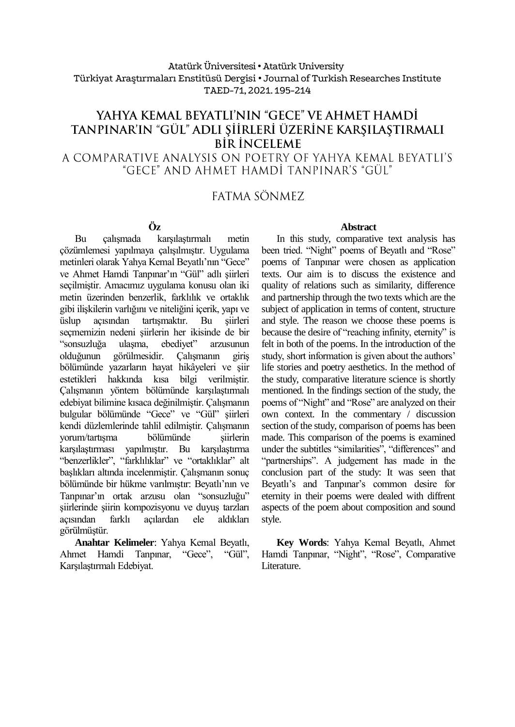# Atatürk Üniversitesi• Atatürk University Türkiyat Araştırmaları Enstitüsü Dergisi • Journal of Turkish Researches Institute TAED-71, 2021. 195-214

# YAHYA KEMAL BEYATLI'NIN "GECE" VE AHMET HAMDİ TANPINAR'IN "GÜL" ADLI ŞİİRLERİ ÜZERİNE KARŞILAŞTIRMALI **BIR INCELEME**

A COMPARATIVE ANALYSIS ON POETRY OF YAHYA KEMAL BEYATLI'S "GECE" AND AHMET HAMDİ TANPINAR'S "GÜL"

# FATMA SÖNMEZ

# **Öz**

Bu çalışmada karşılaştırmalı metin çözümlemesi yapılmaya çalışılmıştır. Uygulama metinleri olarak Yahya Kemal Beyatlı'nın "Gece" ve Ahmet Hamdi Tanpınar'ın "Gül" adlı şiirleri seçilmiştir. Amacımız uygulama konusu olan iki metin üzerinden benzerlik, farklılık ve ortaklık gibi ilişkilerin varlığını ve niteliğini içerik, yapı ve üslup açısından tartışmaktır. Bu şiirleri seçmemizin nedeni şiirlerin her ikisinde de bir "sonsuzluğa ulaşma, ebediyet" arzusunun olduğunun görülmesidir. Çalışmanın giriş bölümünde yazarların hayat hikâyeleri ve şiir estetikleri hakkında kısa bilgi verilmiştir. Çalışmanın yöntem bölümünde karşılaştırmalı edebiyat bilimine kısaca değinilmiştir. Çalışmanın bulgular bölümünde "Gece" ve "Gül" şiirleri kendi düzlemlerinde tahlil edilmiştir. Çalışmanın yorum/tartışma bölümünde siirlerin karşılaştırması yapılmıştır. Bu karşılaştırma "benzerlikler", "farklılıklar" ve "ortaklıklar" alt başlıkları altında incelenmiştir. Çalışmanın sonuç bölümünde bir hükme varılmıştır: Beyatlı'nın ve Tanpınar'ın ortak arzusu olan "sonsuzluğu" şiirlerinde şiirin kompozisyonu ve duyuş tarzları açısından farklı açılardan ele aldıkları görülmüştür.

**Anahtar Kelimeler**: Yahya Kemal Beyatlı, Ahmet Hamdi Tanpınar, "Gece", "Gül", Karşılaştırmalı Edebiyat.

# **Abstract**

In this study, comparative text analysis has been tried. "Night" poems of Beyatlı and "Rose" poems of Tanpınar were chosen as application texts. Our aim is to discuss the existence and quality of relations such as similarity, difference and partnership through the two texts which are the subject of application in terms of content, structure and style. The reason we choose these poems is because the desire of "reaching infinity, eternity" is felt in both of the poems. In the introduction of the study, short information is given about the authors' life stories and poetry aesthetics. In the method of the study, comparative literature science is shortly mentioned. In the findings section of the study, the poems of "Night" and "Rose" are analyzed on their own context. In the commentary / discussion section of the study, comparison of poems has been made. This comparison of the poems is examined under the subtitles "similarities", "differences" and "partnerships". A judgement has made in the conclusion part of the study: It was seen that Beyatlı's and Tanpınar's common desire for eternity in their poems were dealed with diffrent aspects of the poem about composition and sound style.

**Key Words**: Yahya Kemal Beyatlı, Ahmet Hamdi Tanpınar, "Night", "Rose", Comparative Literature.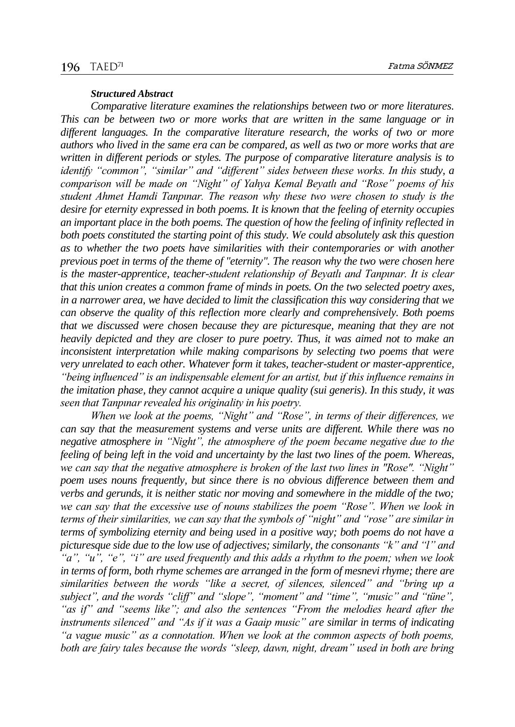#### *Structured Abstract*

*Comparative literature examines the relationships between two or more literatures. This can be between two or more works that are written in the same language or in different languages. In the comparative literature research, the works of two or more authors who lived in the same era can be compared, as well as two or more works that are written in different periods or styles. The purpose of comparative literature analysis is to identify "common", "similar" and "different" sides between these works. In this study, a comparison will be made on "Night" of Yahya Kemal Beyatlı and "Rose" poems of his student Ahmet Hamdi Tanpınar. The reason why these two were chosen to study is the desire for eternity expressed in both poems. It is known that the feeling of eternity occupies an important place in the both poems. The question of how the feeling of infinity reflected in both poets constituted the starting point of this study. We could absolutely ask this question as to whether the two poets have similarities with their contemporaries or with another previous poet in terms of the theme of "eternity". The reason why the two were chosen here is the master-apprentice, teacher-student relationship of Beyatlı and Tanpınar. It is clear that this union creates a common frame of minds in poets. On the two selected poetry axes, in a narrower area, we have decided to limit the classification this way considering that we can observe the quality of this reflection more clearly and comprehensively. Both poems that we discussed were chosen because they are picturesque, meaning that they are not heavily depicted and they are closer to pure poetry. Thus, it was aimed not to make an inconsistent interpretation while making comparisons by selecting two poems that were very unrelated to each other. Whatever form it takes, teacher-student or master-apprentice, "being influenced" is an indispensable element for an artist, but if this influence remains in the imitation phase, they cannot acquire a unique quality (sui generis). In this study, it was seen that Tanpınar revealed his originality in his poetry.*

*When we look at the poems, "Night" and "Rose", in terms of their differences, we can say that the measurement systems and verse units are different. While there was no negative atmosphere in "Night", the atmosphere of the poem became negative due to the feeling of being left in the void and uncertainty by the last two lines of the poem. Whereas, we can say that the negative atmosphere is broken of the last two lines in "Rose". "Night" poem uses nouns frequently, but since there is no obvious difference between them and verbs and gerunds, it is neither static nor moving and somewhere in the middle of the two; we can say that the excessive use of nouns stabilizes the poem "Rose". When we look in terms of their similarities, we can say that the symbols of "night" and "rose" are similar in terms of symbolizing eternity and being used in a positive way; both poems do not have a picturesque side due to the low use of adjectives; similarly, the consonants "k" and "l" and "a", "u", "e", "i" are used frequently and this adds a rhythm to the poem; when we look in terms of form, both rhyme schemes are arranged in the form of mesnevi rhyme; there are similarities between the words "like a secret, of silences, silenced" and "bring up a subject", and the words "cliff" and "slope", "moment" and "time", "music" and "tüne", "as if" and "seems like"; and also the sentences "From the melodies heard after the instruments silenced" and "As if it was a Gaaip music" are similar in terms of indicating "a vague music" as a connotation. When we look at the common aspects of both poems, both are fairy tales because the words "sleep, dawn, night, dream" used in both are bring*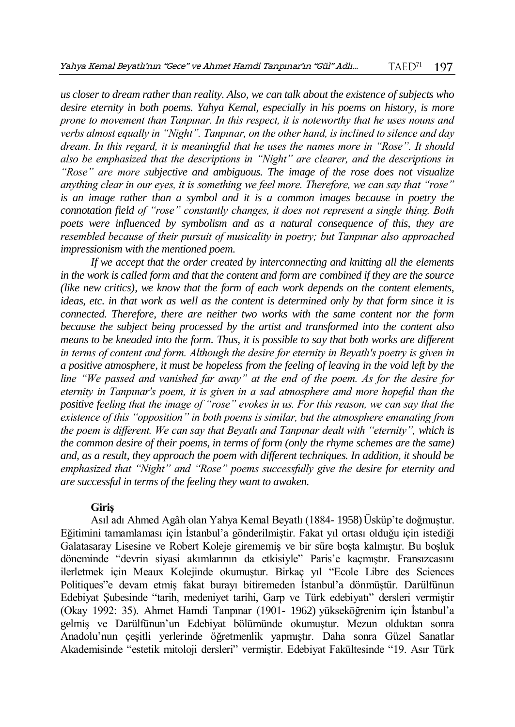*us closer to dream rather than reality. Also, we can talk about the existence of subjects who desire eternity in both poems. Yahya Kemal, especially in his poems on history, is more prone to movement than Tanpınar. In this respect, it is noteworthy that he uses nouns and verbs almost equally in "Night". Tanpınar, on the other hand, is inclined to silence and day dream. In this regard, it is meaningful that he uses the names more in "Rose". It should also be emphasized that the descriptions in "Night" are clearer, and the descriptions in "Rose" are more subjective and ambiguous. The image of the rose does not visualize anything clear in our eyes, it is something we feel more. Therefore, we can say that "rose" is an image rather than a symbol and it is a common images because in poetry the connotation field of "rose" constantly changes, it does not represent a single thing. Both poets were influenced by symbolism and as a natural consequence of this, they are resembled because of their pursuit of musicality in poetry; but Tanpınar also approached impressionism with the mentioned poem.*

*If we accept that the order created by interconnecting and knitting all the elements in the work is called form and that the content and form are combined if they are the source (like new critics), we know that the form of each work depends on the content elements, ideas, etc. in that work as well as the content is determined only by that form since it is connected. Therefore, there are neither two works with the same content nor the form because the subject being processed by the artist and transformed into the content also means to be kneaded into the form. Thus, it is possible to say that both works are different in terms of content and form. Although the desire for eternity in Beyatlı's poetry is given in a positive atmosphere, it must be hopeless from the feeling of leaving in the void left by the line "We passed and vanished far away" at the end of the poem. As for the desire for eternity in Tanpınar's poem, it is given in a sad atmosphere amd more hopeful than the positive feeling that the image of "rose" evokes in us. For this reason, we can say that the existence of this "opposition" in both poems is similar, but the atmosphere emanating from the poem is different. We can say that Beyatlı and Tanpınar dealt with "eternity", which is the common desire of their poems, in terms of form (only the rhyme schemes are the same) and, as a result, they approach the poem with different techniques. In addition, it should be emphasized that "Night" and "Rose" poems successfully give the desire for eternity and are successful in terms of the feeling they want to awaken.*

#### **Giriş**

Asıl adı Ahmed Agâh olan Yahya Kemal Beyatlı (1884- 1958)Üsküp'te doğmuştur. Eğitimini tamamlaması için İstanbul'a gönderilmiştir. Fakat yıl ortası olduğu için istediği Galatasaray Lisesine ve Robert Koleje girememiş ve bir süre boşta kalmıştır. Bu boşluk döneminde "devrin siyasi akımlarının da etkisiyle" Paris'e kaçmıştır. Fransızcasını ilerletmek için Meaux Kolejinde okumuştur. Birkaç yıl "Ecole Libre des Sciences Politiques"e devam etmiş fakat burayı bitiremeden İstanbul'a dönmüştür. Darülfünun Edebiyat Şubesinde "tarih, medeniyet tarihi, Garp ve Türk edebiyatı" dersleri vermiştir (Okay 1992: 35). Ahmet Hamdi Tanpınar (1901- 1962) yükseköğrenim için İstanbul'a gelmiş ve Darülfünun'un Edebiyat bölümünde okumuştur. Mezun olduktan sonra Anadolu'nun çeşitli yerlerinde öğretmenlik yapmıştır. Daha sonra Güzel Sanatlar Akademisinde "estetik mitoloji dersleri" vermiştir. Edebiyat Fakültesinde "19. Asır Türk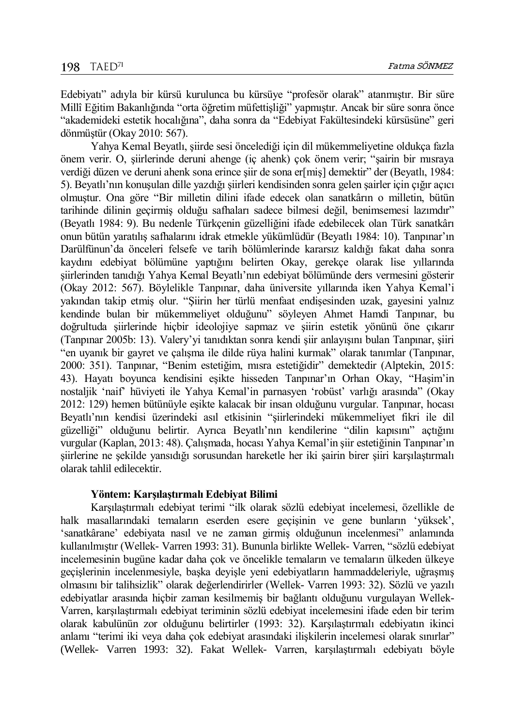Edebiyatı" adıyla bir kürsü kurulunca bu kürsüye "profesör olarak" atanmıştır. Bir süre Millî Eğitim Bakanlığında "orta öğretim müfettişliği" yapmıştır. Ancak bir süre sonra önce "akademideki estetik hocalığına", daha sonra da "Edebiyat Fakültesindeki kürsüsüne" geri dönmüştür (Okay 2010: 567).

Yahya Kemal Beyatlı, şiirde sesi öncelediği için dil mükemmeliyetine oldukça fazla önem verir. O, şiirlerinde deruni ahenge (iç ahenk) çok önem verir; "şairin bir mısraya verdiği düzen ve deruni ahenk sona erince siir de sona er[mis] demektir" der (Beyatlı, 1984: 5). Beyatlı'nın konuşulan dille yazdığı şiirleri kendisinden sonra gelen şairler için çığır açıcı olmuştur. Ona göre "Bir milletin dilini ifade edecek olan sanatkârın o milletin, bütün tarihinde dilinin geçirmiş olduğu safhaları sadece bilmesi değil, benimsemesi lazımdır" (Beyatlı 1984: 9). Bu nedenle Türkçenin güzelliğini ifade edebilecek olan Türk sanatkârı onun bütün yaratılış safhalarını idrak etmekle yükümlüdür (Beyatlı 1984: 10). Tanpınar'ın Darülfünun'da önceleri felsefe ve tarih bölümlerinde kararsız kaldığı fakat daha sonra kaydını edebiyat bölümüne yaptığını belirten Okay, gerekçe olarak lise yıllarında şiirlerinden tanıdığı Yahya Kemal Beyatlı'nın edebiyat bölümünde ders vermesini gösterir (Okay 2012: 567). Böylelikle Tanpınar, daha üniversite yıllarında iken Yahya Kemal'i yakından takip etmiş olur. "Şiirin her türlü menfaat endişesinden uzak, gayesini yalnız kendinde bulan bir mükemmeliyet olduğunu" söyleyen Ahmet Hamdi Tanpınar, bu doğrultuda şiirlerinde hiçbir ideolojiye sapmaz ve şiirin estetik yönünü öne çıkarır (Tanpınar 2005b: 13). Valery'yi tanıdıktan sonra kendi şiir anlayışını bulan Tanpınar, şiiri "en uyanık bir gayret ve çalışma ile dilde rüya halini kurmak" olarak tanımlar (Tanpınar, 2000: 351). Tanpınar, "Benim estetiğim, mısra estetiğidir" demektedir (Alptekin, 2015: 43). Hayatı boyunca kendisini eşikte hisseden Tanpınar'ın Orhan Okay, "Haşim'in nostaljik 'naif' hüviyeti ile Yahya Kemal'in parnasyen 'robüst' varlığı arasında" (Okay 2012: 129) hemen bütünüyle eşikte kalacak bir insan olduğunu vurgular. Tanpınar, hocası Beyatlı'nın kendisi üzerindeki asıl etkisinin "şiirlerindeki mükemmeliyet fikri ile dil güzelliği" olduğunu belirtir. Ayrıca Beyatlı'nın kendilerine "dilin kapısını" açtığını vurgular (Kaplan, 2013: 48). Çalışmada, hocası Yahya Kemal'in şiir estetiğinin Tanpınar'ın şiirlerine ne şekilde yansıdığı sorusundan hareketle her iki şairin birer şiiri karşılaştırmalı olarak tahlil edilecektir.

### **Yöntem: Karşılaştırmalı Edebiyat Bilimi**

Karşılaştırmalı edebiyat terimi "ilk olarak sözlü edebiyat incelemesi, özellikle de halk masallarındaki temaların eserden esere geçişinin ve gene bunların 'yüksek', 'sanatkârane' edebiyata nasıl ve ne zaman girmiş olduğunun incelenmesi" anlamında kullanılmıştır (Wellek- Varren 1993: 31). Bununla birlikte Wellek- Varren, "sözlü edebiyat incelemesinin bugüne kadar daha çok ve öncelikle temaların ve temaların ülkeden ülkeye geçişlerinin incelenmesiyle, başka deyişle yeni edebiyatların hammaddeleriyle, uğraşmış olmasını bir talihsizlik" olarak değerlendirirler (Wellek- Varren 1993: 32). Sözlü ve yazılı edebiyatlar arasında hiçbir zaman kesilmemiş bir bağlantı olduğunu vurgulayan Wellek-Varren, karşılaştırmalı edebiyat teriminin sözlü edebiyat incelemesini ifade eden bir terim olarak kabulünün zor olduğunu belirtirler (1993: 32). Karşılaştırmalı edebiyatın ikinci anlamı "terimi iki veya daha çok edebiyat arasındaki ilişkilerin incelemesi olarak sınırlar" (Wellek- Varren 1993: 32). Fakat Wellek- Varren, karşılaştırmalı edebiyatı böyle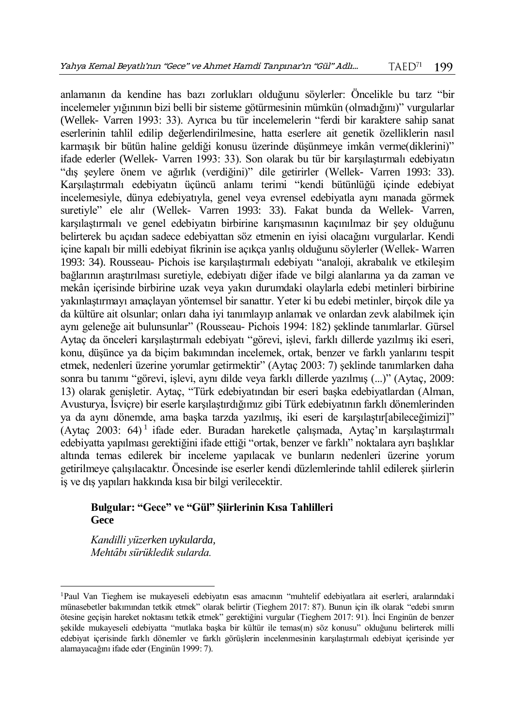anlamanın da kendine has bazı zorlukları olduğunu söylerler: Öncelikle bu tarz "bir incelemeler yığınının bizi belli bir sisteme götürmesinin mümkün (olmadığını)" vurgularlar (Wellek- Varren 1993: 33). Ayrıca bu tür incelemelerin "ferdi bir karaktere sahip sanat eserlerinin tahlil edilip değerlendirilmesine, hatta eserlere ait genetik özelliklerin nasıl karmaşık bir bütün haline geldiği konusu üzerinde düşünmeye imkân verme(diklerini)" ifade ederler (Wellek- Varren 1993: 33). Son olarak bu tür bir karşılaştırmalı edebiyatın "dış şeylere önem ve ağırlık (verdiğini)" dile getirirler (Wellek- Varren 1993: 33). Karşılaştırmalı edebiyatın üçüncü anlamı terimi "kendi bütünlüğü içinde edebiyat incelemesiyle, dünya edebiyatıyla, genel veya evrensel edebiyatla aynı manada görmek suretiyle" ele alır (Wellek- Varren 1993: 33). Fakat bunda da Wellek- Varren, karşılaştırmalı ve genel edebiyatın birbirine karışmasının kaçınılmaz bir şey olduğunu belirterek bu açıdan sadece edebiyattan söz etmenin en iyisi olacağını vurgularlar. Kendi içine kapalı bir milli edebiyat fikrinin ise açıkça yanlış olduğunu söylerler (Wellek- Warren 1993: 34). Rousseau- Pichois ise karşılaştırmalı edebiyatı "analoji, akrabalık ve etkileşim bağlarının araştırılması suretiyle, edebiyatı diğer ifade ve bilgi alanlarına ya da zaman ve mekân içerisinde birbirine uzak veya yakın durumdaki olaylarla edebi metinleri birbirine yakınlaştırmayı amaçlayan yöntemsel bir sanattır. Yeter ki bu edebi metinler, birçok dile ya da kültüre ait olsunlar; onları daha iyi tanımlayıp anlamak ve onlardan zevk alabilmek için aynı geleneğe ait bulunsunlar" (Rousseau- Pichois 1994: 182) şeklinde tanımlarlar. Gürsel Aytaç da önceleri karşılaştırmalı edebiyatı "görevi, işlevi, farklı dillerde yazılmış iki eseri, konu, düşünce ya da biçim bakımından incelemek, ortak, benzer ve farklı yanlarını tespit etmek, nedenleri üzerine yorumlar getirmektir" (Aytaç 2003: 7) şeklinde tanımlarken daha sonra bu tanımı "görevi, işlevi, aynı dilde veya farklı dillerde yazılmış (...)" (Aytaç, 2009: 13) olarak genişletir. Aytaç, "Türk edebiyatından bir eseri başka edebiyatlardan (Alman, Avusturya, İsviçre) bir eserle karşılaştırdığımız gibi Türk edebiyatının farklı dönemlerinden ya da aynı dönemde, ama başka tarzda yazılmış, iki eseri de karşılaştır[abileceğimizi]" (Aytaç 2003: 64) <sup>1</sup> ifade eder. Buradan hareketle çalışmada, Aytaç'ın karşılaştırmalı edebiyatta yapılması gerektiğini ifade ettiği "ortak, benzer ve farklı" noktalara ayrı başlıklar altında temas edilerek bir inceleme yapılacak ve bunların nedenleri üzerine yorum getirilmeye çalışılacaktır. Öncesinde ise eserler kendi düzlemlerinde tahlil edilerek şiirlerin iş ve dış yapıları hakkında kısa bir bilgi verilecektir.

# **Bulgular: "Gece" ve "Gül" Şiirlerinin Kısa Tahlilleri Gece**

*Kandilli yüzerken uykularda, Mehtȃbı sürükledik sularda.*

 $\overline{a}$ 

<sup>1</sup>Paul Van Tieghem ise mukayeseli edebiyatın esas amacının "muhtelif edebiyatlara ait eserleri, aralarındaki münasebetler bakımından tetkik etmek" olarak belirtir (Tieghem 2017: 87). Bunun için ilk olarak "edebi sınırın ötesine geçişin hareket noktasını tetkik etmek" gerektiğini vurgular (Tieghem 2017: 91). İnci Enginün de benzer şekilde mukayeseli edebiyatta "mutlaka başka bir kültür ile temas(ın) söz konusu" olduğunu belirterek milli edebiyat içerisinde farklı dönemler ve farklı görüşlerin incelenmesinin karşılaştırmalı edebiyat içerisinde yer alamayacağını ifade eder (Enginün 1999: 7).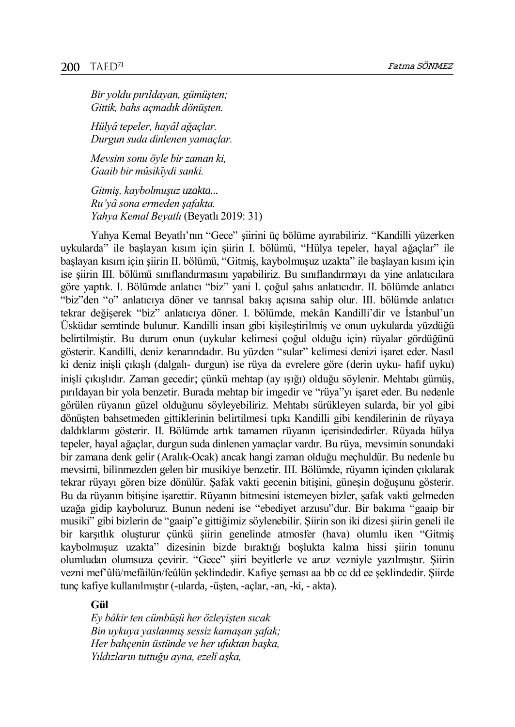*Bir yoldu pırıldayan, gümüşten; Gittik, bahs açmadık dönüşten.*

*Hülyȃ tepeler, hayȃl ağaçlar. Durgun suda dinlenen yamaçlar.*

*Mevsim sonu öyle bir zaman ki, Gaaib bir mûsikȋydi sanki.*

*Gitmiş, kaybolmuşuz uzakta... Ru'yȃ sona ermeden şafakta. Yahya Kemal Beyatlı* (Beyatlı 2019: 31)

Yahya Kemal Beyatlı'nın "Gece" şiirini üç bölüme ayırabiliriz. "Kandilli yüzerken uykularda" ile başlayan kısım için şiirin I. bölümü, "Hülya tepeler, hayal ağaçlar" ile başlayan kısım için şiirin II. bölümü, "Gitmiş, kaybolmuşuz uzakta" ile başlayan kısım için ise şiirin III. bölümü sınıflandırmasını yapabiliriz. Bu sınıflandırmayı da yine anlatıcılara göre yaptık. I. Bölümde anlatıcı "biz" yani I. çoğul şahıs anlatıcıdır. II. bölümde anlatıcı "biz"den "o" anlatıcıya döner ve tanrısal bakış açısına sahip olur. III. bölümde anlatıcı tekrar değişerek "biz" anlatıcıya döner. I. bölümde, mekân Kandilli'dir ve İstanbul'un Üsküdar semtinde bulunur. Kandilli insan gibi kişileştirilmiş ve onun uykularda yüzdüğü belirtilmiştir. Bu durum onun (uykular kelimesi çoğul olduğu için) rüyalar gördüğünü gösterir. Kandilli, deniz kenarındadır. Bu yüzden "sular" kelimesi denizi işaret eder. Nasıl ki deniz inişli çıkışlı (dalgalı- durgun) ise rüya da evrelere göre (derin uyku- hafif uyku) inişli çıkışlıdır. Zaman gecedir; çünkü mehtap (ay ışığı) olduğu söylenir. Mehtabı gümüş, pırıldayan bir yola benzetir. Burada mehtap bir imgedir ve "rüya"yı işaret eder. Bu nedenle görülen rüyanın güzel olduğunu söyleyebiliriz. Mehtabı sürükleyen sularda, bir yol gibi dönüşten bahsetmeden gittiklerinin belirtilmesi tıpkı Kandilli gibi kendilerinin de rüyaya daldıklarını gösterir. II. Bölümde artık tamamen rüyanın içerisindedirler. Rüyada hülya tepeler, hayal ağaçlar, durgun suda dinlenen yamaçlar vardır. Bu rüya, mevsimin sonundaki bir zamana denk gelir (Aralık-Ocak) ancak hangi zaman olduğu meçhuldür. Bu nedenle bu mevsimi, bilinmezden gelen bir musikiye benzetir. III. Bölümde, rüyanın içinden çıkılarak tekrar rüyayı gören bize dönülür. Şafak vakti gecenin bitişini, güneşin doğuşunu gösterir. Bu da rüyanın bitişine işarettir. Rüyanın bitmesini istemeyen bizler, şafak vakti gelmeden uzağa gidip kayboluruz. Bunun nedeni ise "ebediyet arzusu"dur. Bir bakıma "gaaip bir musiki" gibi bizlerin de "gaaip"e gittiğimiz söylenebilir. Şiirin son iki dizesi şiirin geneli ile bir karşıtlık oluşturur çünkü şiirin genelinde atmosfer (hava) olumlu iken "Gitmiş kaybolmuşuz uzakta" dizesinin bizde bıraktığı boşlukta kalma hissi şiirin tonunu olumludan olumsuza çevirir. "Gece" şiiri beyitlerle ve aruz vezniyle yazılmıştır. Şiirin vezni mef'ûlü/mefâilün/feûlün şeklindedir. Kafiye şeması aa bb cc dd ee şeklindedir. Şiirde tunç kafiye kullanılmıştır (-ularda, -üşten, -açlar, -an, -ki, - akta).

# **Gül**

*Ey bâkir ten cümbüşü her özleyişten sıcak Bin uykuya yaslanmış sessiz kamaşan şafak; Her bahçenin üstünde ve her ufuktan başka, Yıldızların tuttuğu ayna, ezelî aşka,*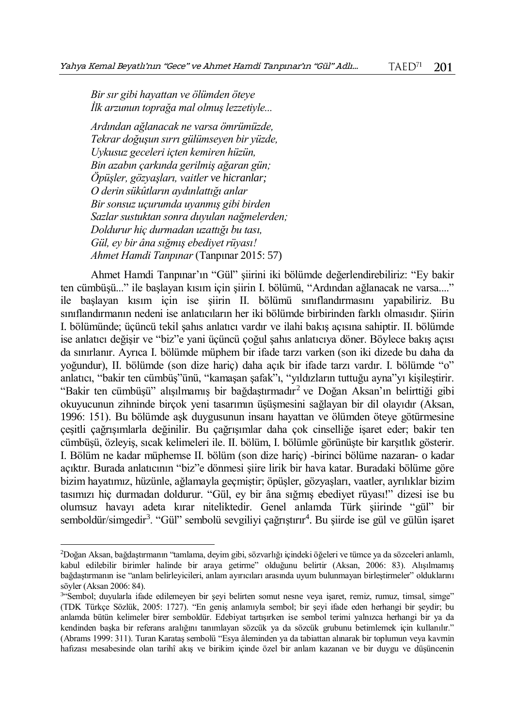*Bir sır gibi hayattan ve ölümden öteye İlk arzunun toprağa mal olmuş lezzetiyle...*

*Ardından ağlanacak ne varsa ömrümüzde, Tekrar doğuşun sırrı gülümseyen bir yüzde, Uykusuz geceleri içten kemiren hüzün, Bin azabın çarkında gerilmiş ağaran gün; Öpüşler, gözyaşları, vaitler ve hicranlar; O derin sükûtların aydınlattığı anlar Bir sonsuz uçurumda uyanmış gibi birden Sazlar sustuktan sonra duyulan nağmelerden; Doldurur hiç durmadan uzattığı bu tası, Gül, ey bir âna sığmış ebediyet rüyası! Ahmet Hamdi Tanpınar* (Tanpınar 2015: 57)

 $\overline{a}$ 

Ahmet Hamdi Tanpınar'ın "Gül" şiirini iki bölümde değerlendirebiliriz: "Ey bakir ten cümbüşü..." ile başlayan kısım için şiirin I. bölümü, "Ardından ağlanacak ne varsa...." ile başlayan kısım için ise şiirin II. bölümü sınıflandırmasını yapabiliriz. Bu sınıflandırmanın nedeni ise anlatıcıların her iki bölümde birbirinden farklı olmasıdır. Şiirin I. bölümünde; üçüncü tekil şahıs anlatıcı vardır ve ilahi bakış açısına sahiptir. II. bölümde ise anlatıcı değişir ve "biz"e yani üçüncü çoğul şahıs anlatıcıya döner. Böylece bakış açısı da sınırlanır. Ayrıca I. bölümde müphem bir ifade tarzı varken (son iki dizede bu daha da yoğundur), II. bölümde (son dize hariç) daha açık bir ifade tarzı vardır. I. bölümde "o" anlatıcı, "bakir ten cümbüş"ünü, "kamaşan şafak"ı, "yıldızların tuttuğu ayna"yı kişileştirir. "Bakir ten cümbüşü" alışılmamış bir bağdaştırmadır<sup>2</sup> ve Doğan Aksan'ın belirttiği gibi okuyucunun zihninde birçok yeni tasarımın üşüşmesini sağlayan bir dil olayıdır (Aksan, 1996: 151). Bu bölümde aşk duygusunun insanı hayattan ve ölümden öteye götürmesine çeşitli çağrışımlarla değinilir. Bu çağrışımlar daha çok cinselliğe işaret eder; bakir ten cümbüşü, özleyiş, sıcak kelimeleri ile. II. bölüm, I. bölümle görünüşte bir karşıtlık gösterir. I. Bölüm ne kadar müphemse II. bölüm (son dize hariç) -birinci bölüme nazaran- o kadar açıktır. Burada anlatıcının "biz"e dönmesi şiire lirik bir hava katar. Buradaki bölüme göre bizim hayatımız, hüzünle, ağlamayla geçmiştir; öpüşler, gözyaşları, vaatler, ayrılıklar bizim tasımızı hiç durmadan doldurur. "Gül, ey bir âna sığmış ebediyet rüyası!" dizesi ise bu olumsuz havayı adeta kırar niteliktedir. Genel anlamda Türk şiirinde "gül" bir semboldür/simgedir<sup>3</sup>. "Gül" sembolü sevgiliyi çağrıştırır<sup>4</sup>. Bu şiirde ise gül ve gülün işaret

<sup>2</sup>Doğan Aksan, bağdaştırmanın "tamlama, deyim gibi, sözvarlığı içindeki öğeleri ve tümce ya da sözceleri anlamlı, kabul edilebilir birimler halinde bir araya getirme" olduğunu belirtir (Aksan, 2006: 83). Alışılmamış bağdaştırmanın ise "anlam belirleyicileri, anlam ayırıcıları arasında uyum bulunmayan birleştirmeler" olduklarını söyler (Aksan 2006: 84).

<sup>3</sup> "Sembol; duyularla ifade edilemeyen bir şeyi belirten somut nesne veya işaret, remiz, rumuz, timsal, simge" (TDK Türkçe Sözlük, 2005: 1727). "En geniş anlamıyla sembol; bir şeyi ifade eden herhangi bir şeydir; bu anlamda bütün kelimeler birer semboldür. Edebiyat tartışırken ise sembol terimi yalnızca herhangi bir ya da kendinden başka bir referans aralığını tanımlayan sözcük ya da sözcük grubunu betimlemek için kullanılır." (Abrams 1999: 311). Turan Karataş sembolü "Esya âleminden ya da tabiattan alınarak bir toplumun veya kavmin hafızası mesabesinde olan tarihî akış ve birikim içinde özel bir anlam kazanan ve bir duygu ve düşüncenin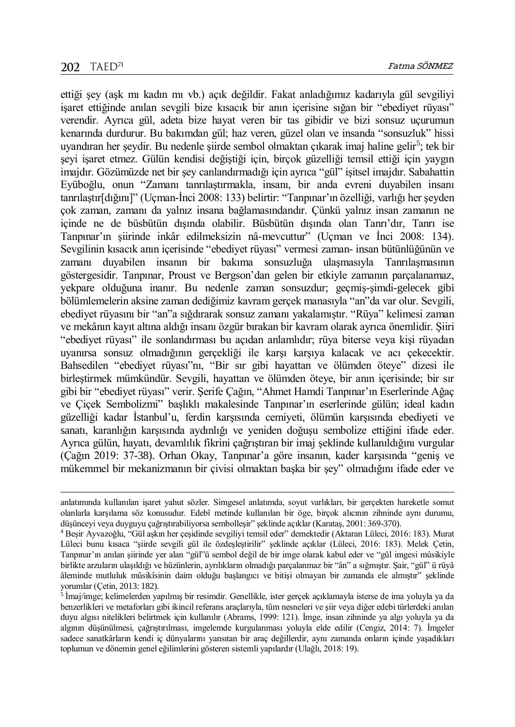$\overline{a}$ 

ettiği şey (aşk mı kadın mı vb.) açık değildir. Fakat anladığımız kadarıyla gül sevgiliyi işaret ettiğinde anılan sevgili bize kısacık bir anın içerisine sığan bir "ebediyet rüyası" verendir. Ayrıca gül, adeta bize hayat veren bir tas gibidir ve bizi sonsuz uçurumun kenarında durdurur. Bu bakımdan gül; haz veren, güzel olan ve insanda "sonsuzluk" hissi uyandıran her şeydir. Bu nedenle şiirde sembol olmaktan çıkarak imaj haline gelir<sup>5</sup>; tek bir şeyi işaret etmez. Gülün kendisi değiştiği için, birçok güzelliği temsil ettiği için yaygın imajdır. Gözümüzde net bir şey canlandırmadığı için ayrıca "gül" işitsel imajdır. Sabahattin Eyüboğlu, onun "Zamanı tanrılaştırmakla, insanı, bir anda evreni duyabilen insanı tanrılaştır[dığını]" (Uçman-İnci 2008: 133) belirtir: "Tanpınar'ın özelliği, varlığı her şeyden çok zaman, zamanı da yalnız insana bağlamasındandır. Çünkü yalnız insan zamanın ne içinde ne de büsbütün dışında olabilir. Büsbütün dışında olan Tanrı'dır, Tanrı ise Tanpınar'ın şiirinde inkâr edilmeksizin nâ-mevcuttur" (Uçman ve İnci 2008: 134). Sevgilinin kısacık anın içerisinde "ebediyet rüyası" vermesi zaman- insan bütünlüğünün ve zamanı duyabilen insanın bir bakıma sonsuzluğa ulaşmasıyla Tanrılaşmasının göstergesidir. Tanpınar, Proust ve Bergson'dan gelen bir etkiyle zamanın parçalanamaz, yekpare olduğuna inanır. Bu nedenle zaman sonsuzdur; geçmiş-şimdi-gelecek gibi bölümlemelerin aksine zaman dediğimiz kavram gerçek manasıyla "an"da var olur. Sevgili, ebediyet rüyasını bir "an"a sığdırarak sonsuz zamanı yakalamıştır. "Rüya" kelimesi zaman ve mekânın kayıt altına aldığı insanı özgür bırakan bir kavram olarak ayrıca önemlidir. Şiiri "ebediyet rüyası" ile sonlandırması bu açıdan anlamlıdır; rüya biterse veya kişi rüyadan uyanırsa sonsuz olmadığının gerçekliği ile karşı karşıya kalacak ve acı çekecektir. Bahsedilen "ebediyet rüyası"nı, "Bir sır gibi hayattan ve ölümden öteye" dizesi ile birleştirmek mümkündür. Sevgili, hayattan ve ölümden öteye, bir anın içerisinde; bir sır gibi bir "ebediyet rüyası" verir. Şerife Çağın, "Ahmet Hamdi Tanpınar'ın Eserlerinde Ağaç ve Çiçek Sembolizmi" başlıklı makalesinde Tanpınar'ın eserlerinde gülün; ideal kadın güzelliği kadar İstanbul'u, ferdin karşısında cemiyeti, ölümün karşısında ebediyeti ve sanatı, karanlığın karşısında aydınlığı ve yeniden doğuşu sembolize ettiğini ifade eder. Ayrıca gülün, hayatı, devamlılık fikrini çağrıştıran bir imaj şeklinde kullanıldığını vurgular (Çağın 2019: 37-38). Orhan Okay, Tanpınar'a göre insanın, kader karşısında "geniş ve mükemmel bir mekanizmanın bir çivisi olmaktan başka bir şey" olmadığını ifade eder ve

anlatımında kullanılan işaret yahut sözler. Simgesel anlatımda, soyut varlıkları, bir gerçekten hareketle somut olanlarla karşılama söz konusudur. Edebî metinde kullanılan bir öge, birçok alıcının zihninde aynı durumu, düşünceyi veya duyguyu çağrıştırabiliyorsa sembolleşir" şeklinde açıklar (Karataş, 2001: 369-370).

<sup>4</sup> Beşir Ayvazoğlu, "Gül aşkın her çeşidinde sevgiliyi temsil eder" demektedir (Aktaran Lüleci, 2016: 183). Murat Lüleci bunu kısaca "şiirde sevgili gül ile özdeşleştirilir" şeklinde açıklar (Lüleci, 2016: 183). Melek Çetin, Tanpınar'ın anılan şiirinde yer alan "gül"ü sembol değil de bir imge olarak kabul eder ve "gül imgesi mûsikiyle birlikte arzuların ulaşıldığı ve hüzünlerin, ayrılıkların olmadığı parçalanmaz bir "ân" a sığmıştır. Şair, "gül" ü rüyâ âleminde mutluluk mûsikîsinin daim olduğu başlangıcı ve bitişi olmayan bir zamanda ele almıştır" şeklinde yorumlar (Çetin, 2013: 182).<br><sup>5</sup> İmaj/imge; kelimelerden yapılmış bir resimdir. Genellikle, ister gerçek açıklamayla isterse de ima yoluyla ya da

benzerlikleri ve metaforları gibi ikincil referans araçlarıyla, tüm nesneleri ve şiir veya diğer edebi türlerdeki anılan duyu algısı nitelikleri belirtmek için kullanılır (Abrams, 1999: 121). İmge, insan zihninde ya algı yoluyla ya da algının düşünülmesi, çağrıştırılması, imgelemde kurgulanması yoluyla elde edilir (Cengiz, 2014: 7). İmgeler sadece sanatkârların kendi iç dünyalarını yansıtan bir araç değillerdir, aynı zamanda onların içinde yaşadıkları toplumun ve dönemin genel eğilimlerini gösteren sistemli yapılardır (Ulağlı, 2018: 19).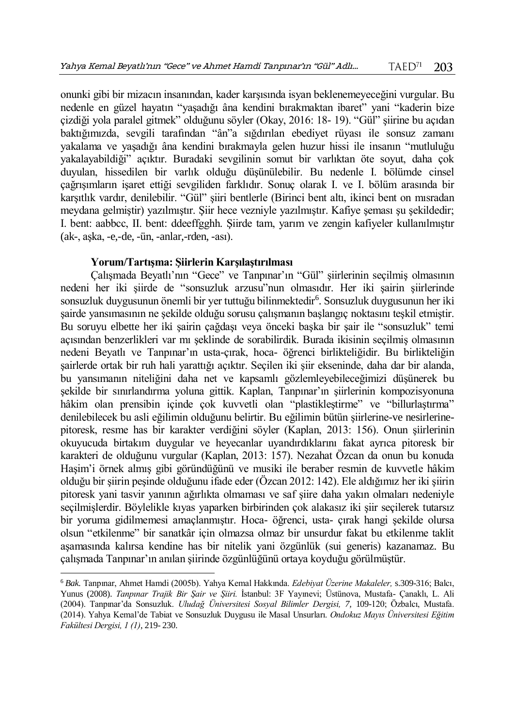onunki gibi bir mizacın insanından, kader karşısında isyan beklenemeyeceğini vurgular. Bu nedenle en güzel hayatın "yaşadığı âna kendini bırakmaktan ibaret" yani "kaderin bize çizdiği yola paralel gitmek" olduğunu söyler (Okay, 2016: 18- 19). "Gül" şiirine bu açıdan baktığımızda, sevgili tarafından "ân"a sığdırılan ebediyet rüyası ile sonsuz zamanı yakalama ve yaşadığı âna kendini bırakmayla gelen huzur hissi ile insanın "mutluluğu yakalayabildiği" açıktır. Buradaki sevgilinin somut bir varlıktan öte soyut, daha çok duyulan, hissedilen bir varlık olduğu düşünülebilir. Bu nedenle I. bölümde cinsel çağrışımların işaret ettiği sevgiliden farklıdır. Sonuç olarak I. ve I. bölüm arasında bir karşıtlık vardır, denilebilir. "Gül" şiiri bentlerle (Birinci bent altı, ikinci bent on mısradan meydana gelmiştir) yazılmıştır. Şiir hece vezniyle yazılmıştır. Kafiye şeması şu şekildedir; I. bent: aabbcc, II. bent: ddeeffgghh. Şiirde tam, yarım ve zengin kafiyeler kullanılmıştır (ak-, aşka, -e,-de, -ün, -anlar,-rden, -ası).

## **Yorum/Tartışma: Şiirlerin Karşılaştırılması**

 $\overline{a}$ 

Çalışmada Beyatlı'nın "Gece" ve Tanpınar'ın "Gül" şiirlerinin seçilmiş olmasının nedeni her iki şiirde de "sonsuzluk arzusu"nun olmasıdır. Her iki şairin şiirlerinde sonsuzluk duygusunun önemli bir yer tuttuğu bilinmektedir<sup>6</sup>. Sonsuzluk duygusunun her iki şairde yansımasının ne şekilde olduğu sorusu çalışmanın başlangıç noktasını teşkil etmiştir. Bu soruyu elbette her iki şairin çağdaşı veya önceki başka bir şair ile "sonsuzluk" temi açısından benzerlikleri var mı şeklinde de sorabilirdik. Burada ikisinin seçilmiş olmasının nedeni Beyatlı ve Tanpınar'ın usta-çırak, hoca- öğrenci birlikteliğidir. Bu birlikteliğin şairlerde ortak bir ruh hali yarattığı açıktır. Seçilen iki şiir ekseninde, daha dar bir alanda, bu yansımanın niteliğini daha net ve kapsamlı gözlemleyebileceğimizi düşünerek bu şekilde bir sınırlandırma yoluna gittik. Kaplan, Tanpınar'ın şiirlerinin kompozisyonuna hâkim olan prensibin içinde çok kuvvetli olan "plastikleştirme" ve "billurlaştırma" denilebilecek bu asli eğilimin olduğunu belirtir. Bu eğilimin bütün şiirlerine-ve nesirlerinepitoresk, resme has bir karakter verdiğini söyler (Kaplan, 2013: 156). Onun şiirlerinin okuyucuda birtakım duygular ve heyecanlar uyandırdıklarını fakat ayrıca pitoresk bir karakteri de olduğunu vurgular (Kaplan, 2013: 157). Nezahat Özcan da onun bu konuda Haşim'i örnek almış gibi göründüğünü ve musiki ile beraber resmin de kuvvetle hâkim olduğu bir şiirin peşinde olduğunu ifade eder (Özcan 2012: 142). Ele aldığımız her iki şiirin pitoresk yani tasvir yanının ağırlıkta olmaması ve saf şiire daha yakın olmaları nedeniyle seçilmişlerdir. Böylelikle kıyas yaparken birbirinden çok alakasız iki şiir seçilerek tutarsız bir yoruma gidilmemesi amaçlanmıştır. Hoca- öğrenci, usta- çırak hangi şekilde olursa olsun "etkilenme" bir sanatkâr için olmazsa olmaz bir unsurdur fakat bu etkilenme taklit aşamasında kalırsa kendine has bir nitelik yani özgünlük (sui generis) kazanamaz. Bu çalışmada Tanpınar'ın anılan şiirinde özgünlüğünü ortaya koyduğu görülmüştür.

<sup>6</sup> *Bak.* Tanpınar, Ahmet Hamdi (2005b). Yahya Kemal Hakkında. *Edebiyat Üzerine Makaleler,* s.309-316; Balcı, Yunus (2008). *Tanpınar Trajik Bir Şair ve Şiiri.* İstanbul: 3F Yayınevi; Üstünova, Mustafa- Çanaklı, L. Ali (2004). Tanpınar'da Sonsuzluk. *Uludağ Üniversitesi Sosyal Bilimler Dergisi, 7,* 109-120; Özbalcı, Mustafa. (2014). Yahya Kemal'de Tabiat ve Sonsuzluk Duygusu ile Masal Unsurları. *Ondokuz Mayıs Üniversitesi Eğitim Fakültesi Dergisi, 1 (1)*, 219- 230.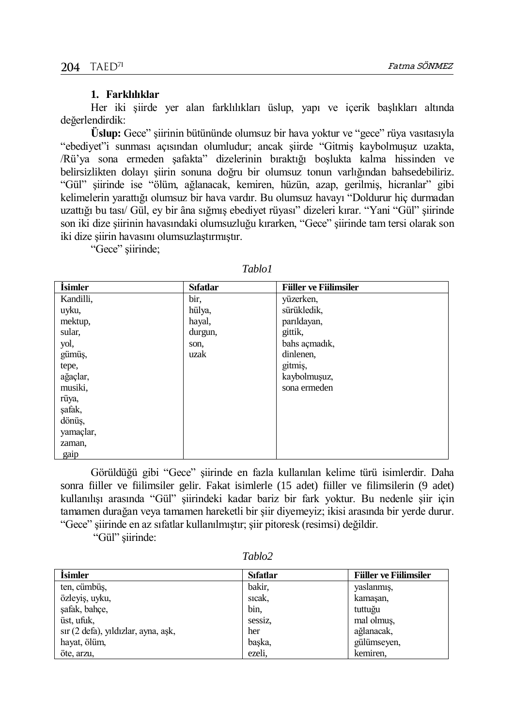## **1. Farklılıklar**

Her iki şiirde yer alan farklılıkları üslup, yapı ve içerik başlıkları altında değerlendirdik:

**Üslup:** Gece" şiirinin bütününde olumsuz bir hava yoktur ve "gece" rüya vasıtasıyla "ebediyet"i sunması açısından olumludur; ancak şiirde "Gitmiş kaybolmuşuz uzakta, /Rü'ya sona ermeden şafakta" dizelerinin bıraktığı boşlukta kalma hissinden ve belirsizlikten dolayı şiirin sonuna doğru bir olumsuz tonun varlığından bahsedebiliriz. "Gül" şiirinde ise "ölüm, ağlanacak, kemiren, hüzün, azap, gerilmiş, hicranlar" gibi kelimelerin yarattığı olumsuz bir hava vardır. Bu olumsuz havayı "Doldurur hiç durmadan uzattığı bu tası/ Gül, ey bir âna sığmış ebediyet rüyası" dizeleri kırar. "Yani "Gül" şiirinde son iki dize şiirinin havasındaki olumsuzluğu kırarken, "Gece" şiirinde tam tersi olarak son iki dize şiirin havasını olumsuzlaştırmıştır.

"Gece" şiirinde;

| <i>isimler</i> | <b>S</b> ıfatlar | <b>Filler ve Fillimsiler</b> |
|----------------|------------------|------------------------------|
| Kandilli,      | bir,             | yüzerken,                    |
| uyku,          | hülya,           | sürükledik,                  |
| mektup,        | hayal,           | parıldayan,                  |
| sular,         | durgun,          | gittik,                      |
| yol,           | son,             | bahs açmadık,                |
| gümüş,         | uzak             | dinlenen,                    |
| tepe,          |                  | gitmis,                      |
| ağaçlar,       |                  | kaybolmuşuz,                 |
| musiki,        |                  | sona ermeden                 |
| rüya,          |                  |                              |
| safak,         |                  |                              |
| dönüş,         |                  |                              |
| yamaçlar,      |                  |                              |
| zaman,         |                  |                              |
| gaip           |                  |                              |

*Tablo1*

Görüldüğü gibi "Gece" şiirinde en fazla kullanılan kelime türü isimlerdir. Daha sonra fiiller ve fiilimsiler gelir. Fakat isimlerle (15 adet) fiiller ve filimsilerin (9 adet) kullanılışı arasında "Gül" şiirindeki kadar bariz bir fark yoktur. Bu nedenle şiir için tamamen durağan veya tamamen hareketli bir şiir diyemeyiz; ikisi arasında bir yerde durur. "Gece" şiirinde en az sıfatlar kullanılmıştır; şiir pitoresk (resimsi) değildir.

"Gül" şiirinde:

*Tablo2* 

| <i>isimler</i>                      | <b>S</b> ifatlar | <b>Filler ve Fillimsiler</b> |
|-------------------------------------|------------------|------------------------------|
| ten, cümbüş,                        | bakir,           | yaslanmış,                   |
| özleyiş, uyku,                      | sicak,           | kamasan,                     |
| safak, bahçe,                       | bin.             | tuttuğu                      |
| üst, ufuk,                          | sessiz.          | mal olmuş,                   |
| sır (2 defa), yıldızlar, ayna, aşk, | her              | ağlanacak,                   |
| hayat, ölüm,                        | baska,           | gülümseyen,                  |
| öte, arzu,                          | ezeli.           | kemiren.                     |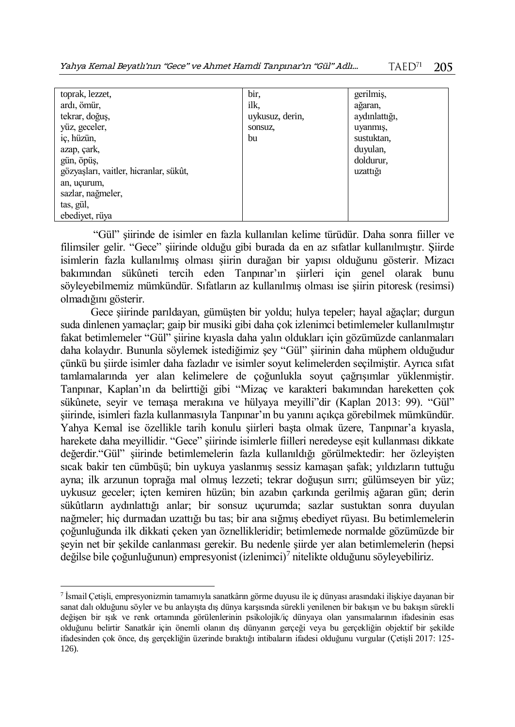| toprak, lezzet,                        | bir.            | gerilmiş,     |
|----------------------------------------|-----------------|---------------|
| ardı, ömür,                            | ilk.            | ağaran,       |
| tekrar, doğuş,                         | uykusuz, derin, | aydınlattığı, |
| yüz, geceler,                          | sonsuz.         | uyanmış,      |
| iç, hüzün,                             | bu              | sustuktan,    |
| azap, çark,                            |                 | duyulan,      |
| gün, öpüş,                             |                 | doldurur,     |
| gözyaşları, vaitler, hicranlar, sükût, |                 | uzattığı      |
| an, uçurum,                            |                 |               |
| sazlar, nağmeler,                      |                 |               |
| tas, gül,                              |                 |               |
| ebediyet, rüya                         |                 |               |

"Gül" şiirinde de isimler en fazla kullanılan kelime türüdür. Daha sonra fiiller ve filimsiler gelir. "Gece" şiirinde olduğu gibi burada da en az sıfatlar kullanılmıştır. Şiirde isimlerin fazla kullanılmış olması şiirin durağan bir yapısı olduğunu gösterir. Mizacı bakımından sükûneti tercih eden Tanpınar'ın şiirleri için genel olarak bunu söyleyebilmemiz mümkündür. Sıfatların az kullanılmış olması ise şiirin pitoresk (resimsi) olmadığını gösterir.

Gece şiirinde parıldayan, gümüşten bir yoldu; hulya tepeler; hayal ağaçlar; durgun suda dinlenen yamaçlar; gaip bir musiki gibi daha çok izlenimci betimlemeler kullanılmıştır fakat betimlemeler "Gül" şiirine kıyasla daha yalın oldukları için gözümüzde canlanmaları daha kolaydır. Bununla söylemek istediğimiz şey "Gül" şiirinin daha müphem olduğudur çünkü bu şiirde isimler daha fazladır ve isimler soyut kelimelerden seçilmiştir. Ayrıca sıfat tamlamalarında yer alan kelimelere de çoğunlukla soyut çağrışımlar yüklenmiştir. Tanpınar, Kaplan'ın da belirttiği gibi "Mizaç ve karakteri bakımından hareketten çok sükûnete, seyir ve temaşa merakına ve hülyaya meyilli"dir (Kaplan 2013: 99). "Gül" şiirinde, isimleri fazla kullanmasıyla Tanpınar'ın bu yanını açıkça görebilmek mümkündür. Yahya Kemal ise özellikle tarih konulu şiirleri başta olmak üzere, Tanpınar'a kıyasla, harekete daha meyillidir. "Gece" şiirinde isimlerle fiilleri neredeyse eşit kullanması dikkate değerdir."Gül" şiirinde betimlemelerin fazla kullanıldığı görülmektedir: her özleyişten sıcak bakir ten cümbüşü; bin uykuya yaslanmış sessiz kamaşan şafak; yıldızların tuttuğu ayna; ilk arzunun toprağa mal olmuş lezzeti; tekrar doğuşun sırrı; gülümseyen bir yüz; uykusuz geceler; içten kemiren hüzün; bin azabın çarkında gerilmiş ağaran gün; derin sükûtların aydınlattığı anlar; bir sonsuz uçurumda; sazlar sustuktan sonra duyulan nağmeler; hiç durmadan uzattığı bu tas; bir ana sığmış ebediyet rüyası. Bu betimlemelerin çoğunluğunda ilk dikkati çeken yan öznellikleridir; betimlemede normalde gözümüzde bir şeyin net bir şekilde canlanması gerekir. Bu nedenle şiirde yer alan betimlemelerin (hepsi değilse bile çoğunluğunun) empresyonist (izlenimci)<sup>7</sup> nitelikte olduğunu söyleyebiliriz.

 $\overline{a}$ 

<sup>7</sup> İsmail Çetişli, empresyonizmin tamamıyla sanatkârın görme duyusu ile iç dünyası arasındaki ilişkiye dayanan bir sanat dalı olduğunu söyler ve bu anlayışta dış dünya karşısında sürekli yenilenen bir bakışın ve bu bakışın sürekli değişen bir ışık ve renk ortamında görülenlerinin psikolojik/iç dünyaya olan yansımalarının ifadesinin esas olduğunu belirtir Sanatkâr için önemli olanın dış dünyanın gerçeği veya bu gerçekliğin objektif bir şekilde ifadesinden çok önce, dış gerçekliğin üzerinde bıraktığı intibaların ifadesi olduğunu vurgular (Çetişli 2017: 125- 126).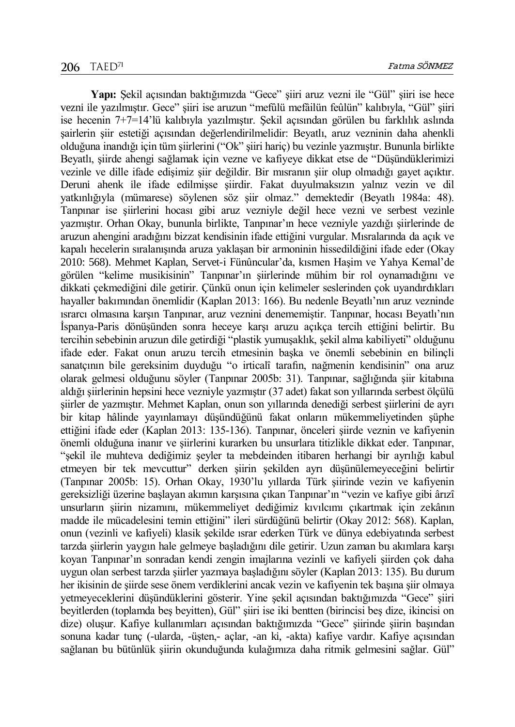**Yapı:** Şekil açısından baktığımızda "Gece" şiiri aruz vezni ile "Gül" şiiri ise hece vezni ile yazılmıştır. Gece" şiiri ise aruzun "mefûlü mefâilün feûlün" kalıbıyla, "Gül" şiiri ise hecenin 7+7=14'lü kalıbıyla yazılmıştır. Şekil açısından görülen bu farklılık aslında şairlerin şiir estetiği açısından değerlendirilmelidir: Beyatlı, aruz vezninin daha ahenkli olduğuna inandığı için tüm şiirlerini ("Ok" şiiri hariç) bu vezinle yazmıştır. Bununla birlikte Beyatlı, şiirde ahengi sağlamak için vezne ve kafiyeye dikkat etse de "Düşündüklerimizi vezinle ve dille ifade edişimiz şiir değildir. Bir mısranın şiir olup olmadığı gayet açıktır. Deruni ahenk ile ifade edilmişse şiirdir. Fakat duyulmaksızın yalnız vezin ve dil yatkınlığıyla (mümarese) söylenen söz şiir olmaz." demektedir (Beyatlı 1984a: 48). Tanpınar ise şiirlerini hocası gibi aruz vezniyle değil hece vezni ve serbest vezinle yazmıştır. Orhan Okay, bununla birlikte, Tanpınar'ın hece vezniyle yazdığı şiirlerinde de aruzun ahengini aradığını bizzat kendisinin ifade ettiğini vurgular. Mısralarında da açık ve kapalı hecelerin sıralanışında aruza yaklaşan bir armoninin hissedildiğini ifade eder (Okay 2010: 568). Mehmet Kaplan, Servet-i Fünûncular'da, kısmen Haşim ve Yahya Kemal'de görülen "kelime musikisinin" Tanpınar'ın şiirlerinde mühim bir rol oynamadığını ve dikkati çekmediğini dile getirir. Çünkü onun için kelimeler seslerinden çok uyandırdıkları hayaller bakımından önemlidir (Kaplan 2013: 166). Bu nedenle Beyatlı'nın aruz vezninde ısrarcı olmasına karşın Tanpınar, aruz veznini denememiştir. Tanpınar, hocası Beyatlı'nın İspanya-Paris dönüşünden sonra heceye karşı aruzu açıkça tercih ettiğini belirtir. Bu tercihin sebebinin aruzun dile getirdiği "plastik yumuşaklık, şekil alma kabiliyeti" olduğunu ifade eder. Fakat onun aruzu tercih etmesinin başka ve önemli sebebinin en bilinçli sanatçının bile gereksinim duyduğu "o irticalî tarafın, nağmenin kendisinin" ona aruz olarak gelmesi olduğunu söyler (Tanpınar 2005b: 31). Tanpınar, sağlığında şiir kitabına aldığı şiirlerinin hepsini hece vezniyle yazmıştır (37 adet) fakat son yıllarında serbest ölçülü şiirler de yazmıştır. Mehmet Kaplan, onun son yıllarında denediği serbest şiirlerini de ayrı bir kitap hâlinde yayınlamayı düşündüğünü fakat onların mükemmeliyetinden şüphe ettiğini ifade eder (Kaplan 2013: 135-136). Tanpınar, önceleri şiirde veznin ve kafiyenin önemli olduğuna inanır ve şiirlerini kurarken bu unsurlara titizlikle dikkat eder. Tanpınar, "şekil ile muhteva dediğimiz şeyler ta mebdeinden itibaren herhangi bir ayrılığı kabul etmeyen bir tek mevcuttur" derken şiirin şekilden ayrı düşünülemeyeceğini belirtir (Tanpınar 2005b: 15). Orhan Okay, 1930'lu yıllarda Türk şiirinde vezin ve kafiyenin gereksizliği üzerine başlayan akımın karşısına çıkan Tanpınar'ın "vezin ve kafiye gibi ârızî unsurların şiirin nizamını, mükemmeliyet dediğimiz kıvılcımı çıkartmak için zekânın madde ile mücadelesini temin ettiğini" ileri sürdüğünü belirtir (Okay 2012: 568). Kaplan, onun (vezinli ve kafiyeli) klasik şekilde ısrar ederken Türk ve dünya edebiyatında serbest tarzda şiirlerin yaygın hale gelmeye başladığını dile getirir. Uzun zaman bu akımlara karşı koyan Tanpınar'ın sonradan kendi zengin imajlarına vezinli ve kafiyeli şiirden çok daha uygun olan serbest tarzda şiirler yazmaya başladığını söyler (Kaplan 2013: 135). Bu durum her ikisinin de şiirde sese önem verdiklerini ancak vezin ve kafiyenin tek başına şiir olmaya yetmeyeceklerini düşündüklerini gösterir. Yine şekil açısından baktığımızda "Gece" şiiri beyitlerden (toplamda beş beyitten), Gül" şiiri ise iki bentten (birincisi beş dize, ikincisi on dize) oluşur. Kafiye kullanımları açısından baktığımızda "Gece" şiirinde şiirin başından sonuna kadar tunç (-ularda, -üşten,- açlar, -an ki, -akta) kafiye vardır. Kafiye açısından sağlanan bu bütünlük şiirin okunduğunda kulağımıza daha ritmik gelmesini sağlar. Gül"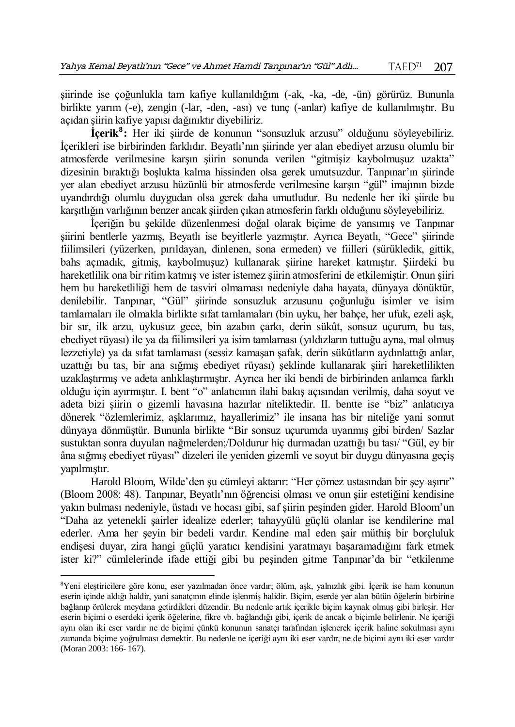şiirinde ise çoğunlukla tam kafiye kullanıldığını (-ak, -ka, -de, -ün) görürüz. Bununla birlikte yarım (-e), zengin (-lar, -den, -ası) ve tunç (-anlar) kafiye de kullanılmıştır. Bu açıdan şiirin kafiye yapısı dağınıktır diyebiliriz.

**İçerik<sup>8</sup> :** Her iki şiirde de konunun "sonsuzluk arzusu" olduğunu söyleyebiliriz. İçerikleri ise birbirinden farklıdır. Beyatlı'nın şiirinde yer alan ebediyet arzusu olumlu bir atmosferde verilmesine karşın şiirin sonunda verilen "gitmişiz kaybolmuşuz uzakta" dizesinin bıraktığı boşlukta kalma hissinden olsa gerek umutsuzdur. Tanpınar'ın şiirinde yer alan ebediyet arzusu hüzünlü bir atmosferde verilmesine karşın "gül" imajının bizde uyandırdığı olumlu duygudan olsa gerek daha umutludur. Bu nedenle her iki şiirde bu karşıtlığın varlığının benzer ancak şiirden çıkan atmosferin farklı olduğunu söyleyebiliriz.

İçeriğin bu şekilde düzenlenmesi doğal olarak biçime de yansımış ve Tanpınar şiirini bentlerle yazmış, Beyatlı ise beyitlerle yazmıştır. Ayrıca Beyatlı, "Gece" şiirinde fiilimsileri (yüzerken, pırıldayan, dinlenen, sona ermeden) ve fiilleri (sürükledik, gittik, bahs açmadık, gitmiş, kaybolmuşuz) kullanarak şiirine hareket katmıştır. Şiirdeki bu hareketlilik ona bir ritim katmış ve ister istemez şiirin atmosferini de etkilemiştir. Onun şiiri hem bu hareketliliği hem de tasviri olmaması nedeniyle daha hayata, dünyaya dönüktür, denilebilir. Tanpınar, "Gül" şiirinde sonsuzluk arzusunu çoğunluğu isimler ve isim tamlamaları ile olmakla birlikte sıfat tamlamaları (bin uyku, her bahçe, her ufuk, ezeli aşk, bir sır, ilk arzu, uykusuz gece, bin azabın çarkı, derin sükût, sonsuz uçurum, bu tas, ebediyet rüyası) ile ya da fiilimsileri ya isim tamlaması (yıldızların tuttuğu ayna, mal olmuş lezzetiyle) ya da sıfat tamlaması (sessiz kamaşan şafak, derin sükûtların aydınlattığı anlar, uzattığı bu tas, bir ana sığmış ebediyet rüyası) şeklinde kullanarak şiiri hareketlilikten uzaklaştırmış ve adeta anlıklaştırmıştır. Ayrıca her iki bendi de birbirinden anlamca farklı olduğu için ayırmıştır. I. bent "o" anlatıcının ilahi bakış açısından verilmiş, daha soyut ve adeta bizi şiirin o gizemli havasına hazırlar niteliktedir. II. bentte ise "biz" anlatıcıya dönerek "özlemlerimiz, aşklarımız, hayallerimiz" ile insana has bir niteliğe yani somut dünyaya dönmüştür. Bununla birlikte "Bir sonsuz uçurumda uyanmış gibi birden/ Sazlar sustuktan sonra duyulan nağmelerden;/Doldurur hiç durmadan uzattığı bu tası/ "Gül, ey bir âna sığmış ebediyet rüyası" dizeleri ile yeniden gizemli ve soyut bir duygu dünyasına geçiş yapılmıştır.

Harold Bloom, Wilde'den şu cümleyi aktarır: "Her çömez ustasından bir şey aşırır" (Bloom 2008: 48). Tanpınar, Beyatlı'nın öğrencisi olması ve onun şiir estetiğini kendisine yakın bulması nedeniyle, üstadı ve hocası gibi, saf şiirin peşinden gider. Harold Bloom'un "Daha az yetenekli şairler idealize ederler; tahayyülü güçlü olanlar ise kendilerine mal ederler. Ama her şeyin bir bedeli vardır. Kendine mal eden şair müthiş bir borçluluk endişesi duyar, zira hangi güçlü yaratıcı kendisini yaratmayı başaramadığını fark etmek ister ki?" cümlelerinde ifade ettiği gibi bu peşinden gitme Tanpınar'da bir "etkilenme

 $\overline{a}$ 

<sup>8</sup>Yeni eleştiricilere göre konu, eser yazılmadan önce vardır; ölüm, aşk, yalnızlık gibi. İçerik ise ham konunun eserin içinde aldığı haldir, yani sanatçının elinde işlenmiş halidir. Biçim, eserde yer alan bütün öğelerin birbirine bağlanıp örülerek meydana getirdikleri düzendir. Bu nedenle artık içerikle biçim kaynak olmuş gibi birleşir. Her eserin biçimi o eserdeki içerik öğelerine, fikre vb. bağlandığı gibi, içerik de ancak o biçimle belirlenir. Ne içeriği aynı olan iki eser vardır ne de biçimi çünkü konunun sanatçı tarafından işlenerek içerik haline sokulması aynı zamanda biçime yoğrulması demektir. Bu nedenle ne içeriği aynı iki eser vardır, ne de biçimi aynı iki eser vardır (Moran 2003: 166- 167).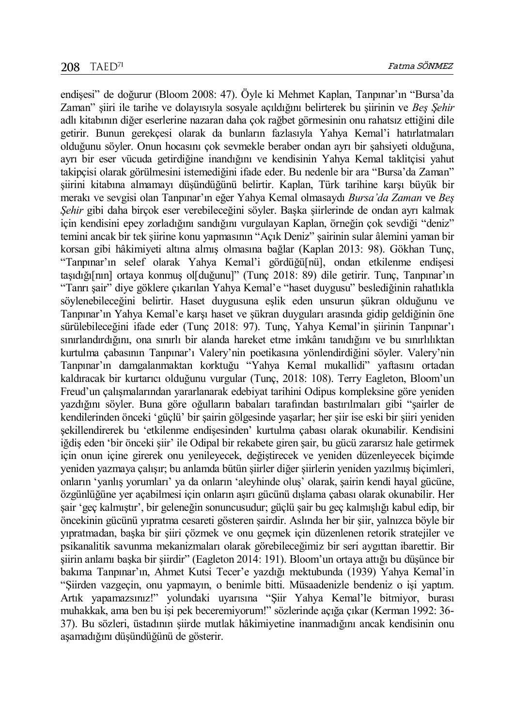endişesi" de doğurur (Bloom 2008: 47). Öyle ki Mehmet Kaplan, Tanpınar'ın "Bursa'da Zaman" şiiri ile tarihe ve dolayısıyla sosyale açıldığını belirterek bu şiirinin ve *Beş Şehir* adlı kitabının diğer eserlerine nazaran daha çok rağbet görmesinin onu rahatsız ettiğini dile getirir. Bunun gerekçesi olarak da bunların fazlasıyla Yahya Kemal'i hatırlatmaları olduğunu söyler. Onun hocasını çok sevmekle beraber ondan ayrı bir şahsiyeti olduğuna, ayrı bir eser vücuda getirdiğine inandığını ve kendisinin Yahya Kemal taklitçisi yahut takipçisi olarak görülmesini istemediğini ifade eder. Bu nedenle bir ara "Bursa'da Zaman" şiirini kitabına almamayı düşündüğünü belirtir. Kaplan, Türk tarihine karşı büyük bir merakı ve sevgisi olan Tanpınar'ın eğer Yahya Kemal olmasaydı *Bursa'da Zaman* ve *Beş Şehir* gibi daha birçok eser verebileceğini söyler. Başka şiirlerinde de ondan ayrı kalmak için kendisini epey zorladığını sandığını vurgulayan Kaplan, örneğin çok sevdiği "deniz" temini ancak bir tek şiirine konu yapmasının "Açık Deniz" şairinin sular âlemini yaman bir korsan gibi hâkimiyeti altına almış olmasına bağlar (Kaplan 2013: 98). Gökhan Tunç, "Tanpınar'ın selef olarak Yahya Kemal'i gördüğü[nü], ondan etkilenme endişesi taşıdığı[nın] ortaya konmuş ol[duğunu]" (Tunç 2018: 89) dile getirir. Tunç, Tanpınar'ın "Tanrı şair" diye göklere çıkarılan Yahya Kemal'e "haset duygusu" beslediğinin rahatlıkla söylenebileceğini belirtir. Haset duygusuna eşlik eden unsurun şükran olduğunu ve Tanpınar'ın Yahya Kemal'e karşı haset ve şükran duyguları arasında gidip geldiğinin öne sürülebileceğini ifade eder (Tunç 2018: 97). Tunç, Yahya Kemal'in şiirinin Tanpınar'ı sınırlandırdığını, ona sınırlı bir alanda hareket etme imkânı tanıdığını ve bu sınırlılıktan kurtulma çabasının Tanpınar'ı Valery'nin poetikasına yönlendirdiğini söyler. Valery'nin Tanpınar'ın damgalanmaktan korktuğu "Yahya Kemal mukallidi" yaftasını ortadan kaldıracak bir kurtarıcı olduğunu vurgular (Tunç, 2018: 108). Terry Eagleton, Bloom'un Freud'un çalışmalarından yararlanarak edebiyat tarihini Odipus kompleksine göre yeniden yazdığını söyler. Buna göre oğulların babaları tarafından bastırılmaları gibi "şairler de kendilerinden önceki 'güçlü' bir şairin gölgesinde yaşarlar; her şiir ise eski bir şiiri yeniden şekillendirerek bu 'etkilenme endişesinden' kurtulma çabası olarak okunabilir. Kendisini iğdiş eden 'bir önceki şiir' ile Odipal bir rekabete giren şair, bu gücü zararsız hale getirmek için onun içine girerek onu yenileyecek, değiştirecek ve yeniden düzenleyecek biçimde yeniden yazmaya çalışır; bu anlamda bütün şiirler diğer şiirlerin yeniden yazılmış biçimleri, onların 'yanlış yorumları' ya da onların 'aleyhinde oluş' olarak, şairin kendi hayal gücüne, özgünlüğüne yer açabilmesi için onların aşırı gücünü dışlama çabası olarak okunabilir. Her şair 'geç kalmıştır', bir geleneğin sonuncusudur; güçlü şair bu geç kalmışlığı kabul edip, bir öncekinin gücünü yıpratma cesareti gösteren şairdir. Aslında her bir şiir, yalnızca böyle bir yıpratmadan, başka bir şiiri çözmek ve onu geçmek için düzenlenen retorik stratejiler ve psikanalitik savunma mekanizmaları olarak görebileceğimiz bir seri aygıttan ibarettir. Bir şiirin anlamı başka bir şiirdir" (Eagleton 2014: 191). Bloom'un ortaya attığı bu düşünce bir bakıma Tanpınar'ın, Ahmet Kutsi Tecer'e yazdığı mektubunda (1939) Yahya Kemal'in "Şiirden vazgeçin, onu yapmayın, o benimle bitti. Müsaadenizle bendeniz o işi yaptım. Artık yapamazsınız!" yolundaki uyarısına "Şiir Yahya Kemal'le bitmiyor, burası muhakkak, ama ben bu işi pek beceremiyorum!" sözlerinde açığa çıkar (Kerman 1992: 36- 37). Bu sözleri, üstadının şiirde mutlak hâkimiyetine inanmadığını ancak kendisinin onu aşamadığını düşündüğünü de gösterir.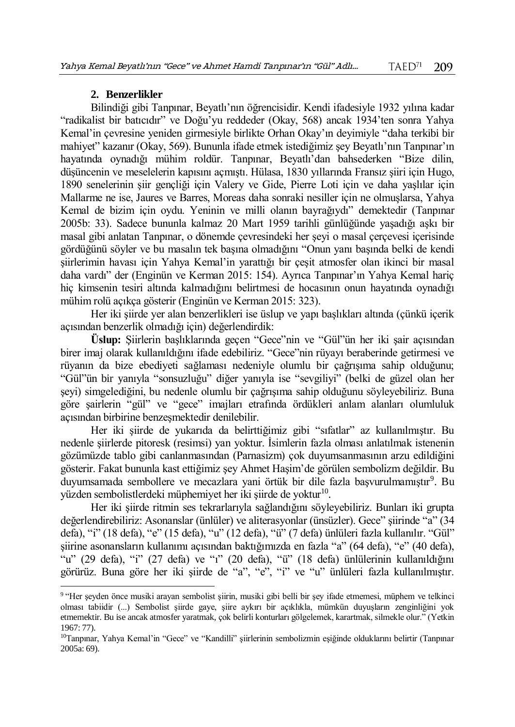# **2. Benzerlikler**

 $\overline{a}$ 

Bilindiği gibi Tanpınar, Beyatlı'nın öğrencisidir. Kendi ifadesiyle 1932 yılına kadar "radikalist bir batıcıdır" ve Doğu'yu reddeder (Okay, 568) ancak 1934'ten sonra Yahya Kemal'in çevresine yeniden girmesiyle birlikte Orhan Okay'ın deyimiyle "daha terkibi bir mahiyet" kazanır (Okay, 569). Bununla ifade etmek istediğimiz şey Beyatlı'nın Tanpınar'ın hayatında oynadığı mühim roldür. Tanpınar, Beyatlı'dan bahsederken "Bize dilin, düşüncenin ve meselelerin kapısını açmıştı. Hülasa, 1830 yıllarında Fransız şiiri için Hugo, 1890 senelerinin şiir gençliği için Valery ve Gide, Pierre Loti için ve daha yaşlılar için Mallarme ne ise, Jaures ve Barres, Moreas daha sonraki nesiller için ne olmuşlarsa, Yahya Kemal de bizim için oydu. Yeninin ve milli olanın bayrağıydı" demektedir (Tanpınar 2005b: 33). Sadece bununla kalmaz 20 Mart 1959 tarihli günlüğünde yaşadığı aşkı bir masal gibi anlatan Tanpınar, o dönemde çevresindeki her şeyi o masal çerçevesi içerisinde gördüğünü söyler ve bu masalın tek başına olmadığını "Onun yanı başında belki de kendi şiirlerimin havası için Yahya Kemal'in yarattığı bir çeşit atmosfer olan ikinci bir masal daha vardı" der (Enginün ve Kerman 2015: 154). Ayrıca Tanpınar'ın Yahya Kemal hariç hiç kimsenin tesiri altında kalmadığını belirtmesi de hocasının onun hayatında oynadığı mühim rolü açıkça gösterir (Enginün ve Kerman 2015: 323).

Her iki şiirde yer alan benzerlikleri ise üslup ve yapı başlıkları altında (çünkü içerik açısından benzerlik olmadığı için) değerlendirdik:

**Üslup:** Şiirlerin başlıklarında geçen "Gece"nin ve "Gül"ün her iki şair açısından birer imaj olarak kullanıldığını ifade edebiliriz. "Gece"nin rüyayı beraberinde getirmesi ve rüyanın da bize ebediyeti sağlaması nedeniyle olumlu bir çağrışıma sahip olduğunu; "Gül"ün bir yanıyla "sonsuzluğu" diğer yanıyla ise "sevgiliyi" (belki de güzel olan her şeyi) simgelediğini, bu nedenle olumlu bir çağrışıma sahip olduğunu söyleyebiliriz. Buna göre şairlerin "gül" ve "gece" imajları etrafında ördükleri anlam alanları olumluluk açısından birbirine benzeşmektedir denilebilir.

Her iki şiirde de yukarıda da belirttiğimiz gibi "sıfatlar" az kullanılmıştır. Bu nedenle şiirlerde pitoresk (resimsi) yan yoktur. İsimlerin fazla olması anlatılmak istenenin gözümüzde tablo gibi canlanmasından (Parnasizm) çok duyumsanmasının arzu edildiğini gösterir. Fakat bununla kast ettiğimiz şey Ahmet Haşim'de görülen sembolizm değildir. Bu duyumsamada sembollere ve mecazlara yani örtük bir dile fazla başvurulmamıştır<sup>9</sup>. Bu yüzden sembolistlerdeki müphemiyet her iki şiirde de yoktur<sup>10</sup>.

Her iki şiirde ritmin ses tekrarlarıyla sağlandığını söyleyebiliriz. Bunları iki grupta değerlendirebiliriz: Asonanslar (ünlüler) ve aliterasyonlar (ünsüzler). Gece" şiirinde "a" (34 defa), "i" (18 defa), "e" (15 defa), "u" (12 defa), "ü" (7 defa) ünlüleri fazla kullanılır. "Gül" şiirine asonansların kullanımı açısından baktığımızda en fazla "a" (64 defa), "e" (40 defa), "u" (29 defa), "i" (27 defa) ve "ı" (20 defa), "ü" (18 defa) ünlülerinin kullanıldığını görürüz. Buna göre her iki şiirde de "a", "e", "i" ve "u" ünlüleri fazla kullanılmıştır.

<sup>9</sup> "Her şeyden önce musiki arayan sembolist şiirin, musiki gibi belli bir şey ifade etmemesi, müphem ve telkinci olması tabiidir (...) Sembolist şiirde gaye, şiire aykırı bir açıklıkla, mümkün duyuşların zenginliğini yok etmemektir. Bu ise ancak atmosfer yaratmak, çok belirli konturları gölgelemek, karartmak, silmekle olur." (Yetkin 1967: 77).

<sup>10</sup>Tanpınar, Yahya Kemal'in "Gece" ve "Kandilli" şiirlerinin sembolizmin eşiğinde olduklarını belirtir (Tanpınar 2005a: 69).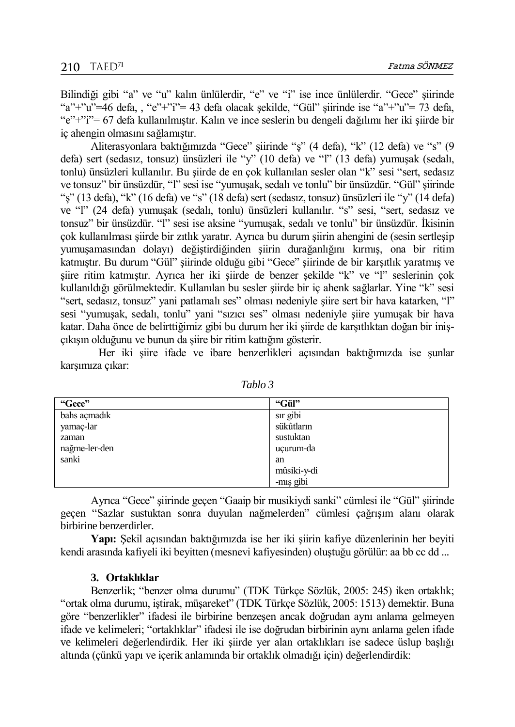Bilindiği gibi "a" ve "u" kalın ünlülerdir, "e" ve "i" ise ince ünlülerdir. "Gece" şiirinde "a"+"u"=46 defa, , "e"+"i"= 43 defa olacak şekilde, "Gül" şiirinde ise "a"+"u"= 73 defa, "e"+"i"= 67 defa kullanılmıştır. Kalın ve ince seslerin bu dengeli dağılımı her iki şiirde bir iç ahengin olmasını sağlamıştır.

Aliterasyonlara baktığımızda "Gece" şiirinde "ş" (4 defa), "k" (12 defa) ve "s" (9 defa) sert (sedasız, tonsuz) ünsüzleri ile "y" (10 defa) ve "l" (13 defa) yumuşak (sedalı, tonlu) ünsüzleri kullanılır. Bu şiirde de en çok kullanılan sesler olan "k" sesi "sert, sedasız ve tonsuz" bir ünsüzdür, "l" sesi ise "yumuşak, sedalı ve tonlu" bir ünsüzdür. "Gül" şiirinde "ş" (13 defa), "k" (16 defa) ve "s" (18 defa) sert (sedasız, tonsuz) ünsüzleri ile "y" (14 defa) ve "l" (24 defa) yumuşak (sedalı, tonlu) ünsüzleri kullanılır. "s" sesi, "sert, sedasız ve tonsuz" bir ünsüzdür. "l" sesi ise aksine "yumuşak, sedalı ve tonlu" bir ünsüzdür. İkisinin çok kullanılması şiirde bir zıtlık yaratır. Ayrıca bu durum şiirin ahengini de (sesin sertleşip yumuşamasından dolayı) değiştirdiğinden şiirin durağanlığını kırmış, ona bir ritim katmıştır. Bu durum "Gül" şiirinde olduğu gibi "Gece" şiirinde de bir karşıtlık yaratmış ve şiire ritim katmıştır. Ayrıca her iki şiirde de benzer şekilde "k" ve "l" seslerinin çok kullanıldığı görülmektedir. Kullanılan bu sesler şiirde bir iç ahenk sağlarlar. Yine "k" sesi "sert, sedasız, tonsuz" yani patlamalı ses" olması nedeniyle şiire sert bir hava katarken, "l" sesi "yumuşak, sedalı, tonlu" yani "sızıcı ses" olması nedeniyle şiire yumuşak bir hava katar. Daha önce de belirttiğimiz gibi bu durum her iki şiirde de karşıtlıktan doğan bir inişçıkışın olduğunu ve bunun da şiire bir ritim kattığını gösterir.

Her iki şiire ifade ve ibare benzerlikleri açısından baktığımızda ise şunlar karşımıza çıkar:

| "Gece"        | "Gül"       |
|---------------|-------------|
| bahs açmadık  | sır gibi    |
| yamaç-lar     | sükûtların  |
| zaman         | sustuktan   |
| nağme-ler-den | ucurum-da   |
| sanki         | an          |
|               | mûsiki-y-di |
|               | -mış gibi   |

*Tablo 3*

Ayrıca "Gece" şiirinde geçen "Gaaip bir musikiydi sanki" cümlesi ile "Gül" şiirinde geçen "Sazlar sustuktan sonra duyulan nağmelerden" cümlesi çağrışım alanı olarak birbirine benzerdirler.

**Yapı:** Şekil açısından baktığımızda ise her iki şiirin kafiye düzenlerinin her beyiti kendi arasında kafiyeli iki beyitten (mesnevi kafiyesinden) oluştuğu görülür: aa bb cc dd ...

## **3. Ortaklıklar**

Benzerlik; "benzer olma durumu" (TDK Türkçe Sözlük, 2005: 245) iken ortaklık; "ortak olma durumu, iştirak, müşareket" (TDK Türkçe Sözlük, 2005: 1513) demektir. Buna göre "benzerlikler" ifadesi ile birbirine benzeşen ancak doğrudan aynı anlama gelmeyen ifade ve kelimeleri; "ortaklıklar" ifadesi ile ise doğrudan birbirinin aynı anlama gelen ifade ve kelimeleri değerlendirdik. Her iki şiirde yer alan ortaklıkları ise sadece üslup başlığı altında (çünkü yapı ve içerik anlamında bir ortaklık olmadığı için) değerlendirdik: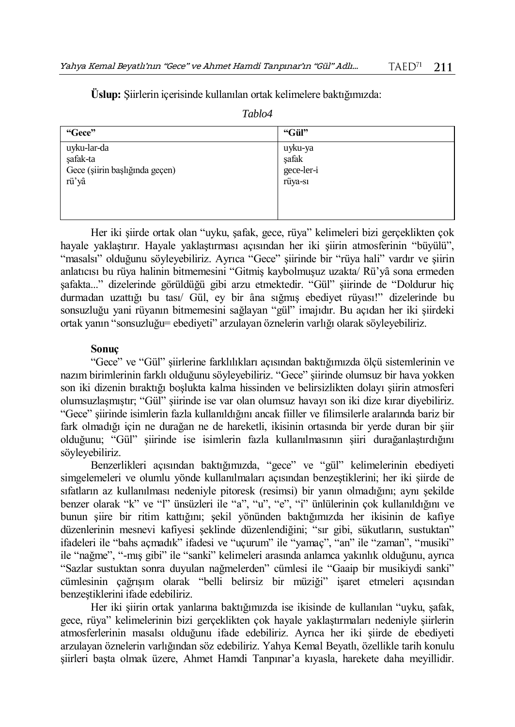| "Gece"                         | "Gül"      |
|--------------------------------|------------|
| uyku-lar-da                    | uyku-ya    |
| şafak-ta                       | şafak      |
| Gece (şiirin başlığında geçen) | gece-ler-i |
| rü'yâ                          | rüya-sı    |
|                                |            |

*Tablo4*

**Üslup:** Şiirlerin içerisinde kullanılan ortak kelimelere baktığımızda:

Her iki şiirde ortak olan "uyku, şafak, gece, rüya" kelimeleri bizi gerçeklikten çok hayale yaklaştırır. Hayale yaklaştırması açısından her iki şiirin atmosferinin "büyülü", "masalsı" olduğunu söyleyebiliriz. Ayrıca "Gece" şiirinde bir "rüya hali" vardır ve şiirin anlatıcısı bu rüya halinin bitmemesini "Gitmiş kaybolmuşuz uzakta/ Rü'yâ sona ermeden şafakta..." dizelerinde görüldüğü gibi arzu etmektedir. "Gül" şiirinde de "Doldurur hiç durmadan uzattığı bu tası/ Gül, ey bir ȃna sığmış ebediyet rüyası!" dizelerinde bu sonsuzluğu yani rüyanın bitmemesini sağlayan "gül" imajıdır. Bu açıdan her iki şiirdeki ortak yanın "sonsuzluğu= ebediyeti" arzulayan öznelerin varlığı olarak söyleyebiliriz.

#### **Sonuç**

"Gece" ve "Gül" şiirlerine farklılıkları açısından baktığımızda ölçü sistemlerinin ve nazım birimlerinin farklı olduğunu söyleyebiliriz. "Gece" şiirinde olumsuz bir hava yokken son iki dizenin bıraktığı boşlukta kalma hissinden ve belirsizlikten dolayı şiirin atmosferi olumsuzlaşmıştır; "Gül" şiirinde ise var olan olumsuz havayı son iki dize kırar diyebiliriz. "Gece" şiirinde isimlerin fazla kullanıldığını ancak fiiller ve filimsilerle aralarında bariz bir fark olmadığı için ne durağan ne de hareketli, ikisinin ortasında bir yerde duran bir şiir olduğunu; "Gül" şiirinde ise isimlerin fazla kullanılmasının şiiri durağanlaştırdığını söyleyebiliriz.

Benzerlikleri açısından baktığımızda, "gece" ve "gül" kelimelerinin ebediyeti simgelemeleri ve olumlu yönde kullanılmaları açısından benzeştiklerini; her iki şiirde de sıfatların az kullanılması nedeniyle pitoresk (resimsi) bir yanın olmadığını; aynı şekilde benzer olarak "k" ve "l" ünsüzleri ile "a", "u", "e", "i" ünlülerinin çok kullanıldığını ve bunun şiire bir ritim kattığını; şekil yönünden baktığımızda her ikisinin de kafiye düzenlerinin mesnevi kafiyesi şeklinde düzenlendiğini; "sır gibi, sükutların, sustuktan" ifadeleri ile "bahs açmadık" ifadesi ve "uçurum" ile "yamaç", "an" ile "zaman", "musiki" ile "nağme", "-mış gibi" ile "sanki" kelimeleri arasında anlamca yakınlık olduğunu, ayrıca "Sazlar sustuktan sonra duyulan nağmelerden" cümlesi ile "Gaaip bir musikiydi sanki" cümlesinin çağrışım olarak "belli belirsiz bir müziği" işaret etmeleri açısından benzeştiklerini ifade edebiliriz.

Her iki şiirin ortak yanlarına baktığımızda ise ikisinde de kullanılan "uyku, şafak, gece, rüya" kelimelerinin bizi gerçeklikten çok hayale yaklaştırmaları nedeniyle şiirlerin atmosferlerinin masalsı olduğunu ifade edebiliriz. Ayrıca her iki şiirde de ebediyeti arzulayan öznelerin varlığından söz edebiliriz. Yahya Kemal Beyatlı, özellikle tarih konulu şiirleri başta olmak üzere, Ahmet Hamdi Tanpınar'a kıyasla, harekete daha meyillidir.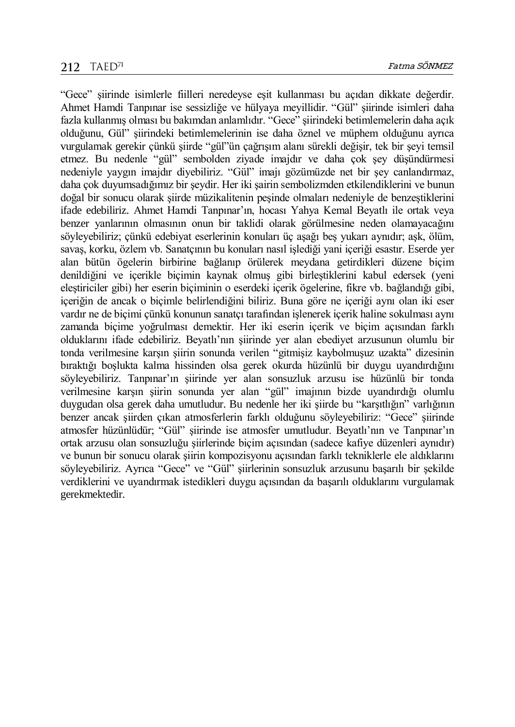"Gece" şiirinde isimlerle fiilleri neredeyse eşit kullanması bu açıdan dikkate değerdir. Ahmet Hamdi Tanpınar ise sessizliğe ve hülyaya meyillidir. "Gül" şiirinde isimleri daha fazla kullanmış olması bu bakımdan anlamlıdır. "Gece" şiirindeki betimlemelerin daha açık olduğunu, Gül" şiirindeki betimlemelerinin ise daha öznel ve müphem olduğunu ayrıca vurgulamak gerekir çünkü şiirde "gül"ün çağrışım alanı sürekli değişir, tek bir şeyi temsil etmez. Bu nedenle "gül" sembolden ziyade imajdır ve daha çok şey düşündürmesi nedeniyle yaygın imajdır diyebiliriz. "Gül" imajı gözümüzde net bir şey canlandırmaz, daha çok duyumsadığımız bir şeydir. Her iki şairin sembolizmden etkilendiklerini ve bunun doğal bir sonucu olarak şiirde müzikalitenin peşinde olmaları nedeniyle de benzeştiklerini ifade edebiliriz. Ahmet Hamdi Tanpınar'ın, hocası Yahya Kemal Beyatlı ile ortak veya benzer yanlarının olmasının onun bir taklidi olarak görülmesine neden olamayacağını söyleyebiliriz; çünkü edebiyat eserlerinin konuları üç aşağı beş yukarı aynıdır; aşk, ölüm, savaş, korku, özlem vb. Sanatçının bu konuları nasıl işlediği yani içeriği esastır. Eserde yer alan bütün ögelerin birbirine bağlanıp örülerek meydana getirdikleri düzene biçim denildiğini ve içerikle biçimin kaynak olmuş gibi birleştiklerini kabul edersek (yeni eleştiriciler gibi) her eserin biçiminin o eserdeki içerik ögelerine, fikre vb. bağlandığı gibi, içeriğin de ancak o biçimle belirlendiğini biliriz. Buna göre ne içeriği aynı olan iki eser vardır ne de biçimi çünkü konunun sanatçı tarafından işlenerek içerik haline sokulması aynı zamanda biçime yoğrulması demektir. Her iki eserin içerik ve biçim açısından farklı olduklarını ifade edebiliriz. Beyatlı'nın şiirinde yer alan ebediyet arzusunun olumlu bir tonda verilmesine karşın şiirin sonunda verilen "gitmişiz kaybolmuşuz uzakta" dizesinin bıraktığı boşlukta kalma hissinden olsa gerek okurda hüzünlü bir duygu uyandırdığını söyleyebiliriz. Tanpınar'ın şiirinde yer alan sonsuzluk arzusu ise hüzünlü bir tonda verilmesine karşın şiirin sonunda yer alan "gül" imajının bizde uyandırdığı olumlu duygudan olsa gerek daha umutludur. Bu nedenle her iki şiirde bu "karşıtlığın" varlığının benzer ancak şiirden çıkan atmosferlerin farklı olduğunu söyleyebiliriz: "Gece" şiirinde atmosfer hüzünlüdür; "Gül" şiirinde ise atmosfer umutludur. Beyatlı'nın ve Tanpınar'ın ortak arzusu olan sonsuzluğu şiirlerinde biçim açısından (sadece kafiye düzenleri aynıdır) ve bunun bir sonucu olarak şiirin kompozisyonu açısından farklı tekniklerle ele aldıklarını söyleyebiliriz. Ayrıca "Gece" ve "Gül" şiirlerinin sonsuzluk arzusunu başarılı bir şekilde verdiklerini ve uyandırmak istedikleri duygu açısından da başarılı olduklarını vurgulamak gerekmektedir.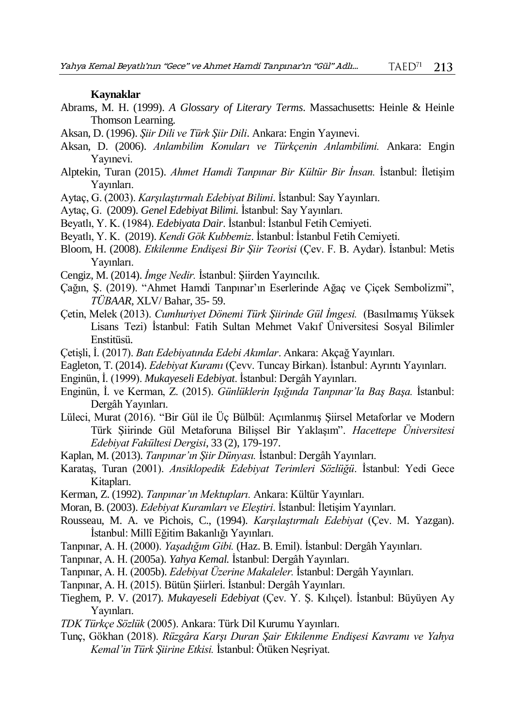#### **Kaynaklar**

- Abrams, M. H. (1999). *A Glossary of Literary Terms*. Massachusetts: Heinle & Heinle Thomson Learning.
- Aksan, D. (1996). *Şiir Dili ve Türk Şiir Dili*. Ankara: Engin Yayınevi.
- Aksan, D. (2006). *Anlambilim Konuları ve Türkçenin Anlambilimi.* Ankara: Engin Yayınevi.
- Alptekin, Turan (2015). *Ahmet Hamdi Tanpınar Bir Kültür Bir İnsan.* İstanbul: İletişim Yayınları.
- Aytaç, G. (2003). *Karşılaştırmalı Edebiyat Bilimi*. İstanbul: Say Yayınları.
- Aytaç, G. (2009). *Genel Edebiyat Bilimi.* İstanbul: Say Yayınları.
- Beyatlı, Y. K. (1984). *Edebiyata Dair*. İstanbul: İstanbul Fetih Cemiyeti.
- Beyatlı, Y. K. (2019). *Kendi Gök Kubbemiz*. İstanbul: İstanbul Fetih Cemiyeti.
- Bloom, H. (2008). *Etkilenme Endişesi Bir Şiir Teorisi* (Çev. F. B. Aydar). İstanbul: Metis Yayınları.
- Cengiz, M. (2014). *İmge Nedir.* İstanbul: Şiirden Yayıncılık.
- Çağın, Ş. (2019). "Ahmet Hamdi Tanpınar'ın Eserlerinde Ağaç ve Çiçek Sembolizmi", *TÜBAAR*, XLV/ Bahar, 35- 59.
- Çetin, Melek (2013). *Cumhuriyet Dönemi Türk Şiirinde Gül İmgesi.* (Basılmamış Yüksek Lisans Tezi) İstanbul: Fatih Sultan Mehmet Vakıf Üniversitesi Sosyal Bilimler Enstitüsü.
- Çetişli, İ. (2017). *Batı Edebiyatında Edebi Akımlar*. Ankara: Akçağ Yayınları.
- Eagleton, T. (2014). *Edebiyat Kuramı* (Çevv. Tuncay Birkan). İstanbul: Ayrıntı Yayınları.
- Enginün, İ. (1999). *Mukayeseli Edebiyat*. İstanbul: Dergâh Yayınları.
- Enginün, İ. ve Kerman, Z. (2015). *Günlüklerin Işığında Tanpınar'la Baş Başa.* İstanbul: Dergâh Yayınları.
- Lüleci, Murat (2016). "Bir Gül ile Üç Bülbül: Açımlanmış Şiirsel Metaforlar ve Modern Türk Şiirinde Gül Metaforuna Bilişsel Bir Yaklaşım". *Hacettepe Üniversitesi Edebiyat Fakültesi Dergisi*, 33 (2), 179-197.
- Kaplan, M. (2013). *Tanpınar'ın Şiir Dünyası.* İstanbul: Dergâh Yayınları.
- Karataş, Turan (2001). *Ansiklopedik Edebiyat Terimleri Sözlüğü*. İstanbul: Yedi Gece Kitapları.
- Kerman, Z. (1992). *Tanpınar'ın Mektupları.* Ankara: Kültür Yayınları.
- Moran, B. (2003). *Edebiyat Kuramları ve Eleştiri*. İstanbul: İletişim Yayınları.
- Rousseau, M. A. ve Pichois, C., (1994). *Karşılaştırmalı Edebiyat* (Çev. M. Yazgan). İstanbul: Millî Eğitim Bakanlığı Yayınları.
- Tanpınar, A. H. (2000). *Yaşadığım Gibi.* (Haz. B. Emil). İstanbul: Dergâh Yayınları.
- Tanpınar, A. H. (2005a). *Yahya Kemal.* İstanbul: Dergâh Yayınları.
- Tanpınar, A. H. (2005b). *Edebiyat Üzerine Makaleler.* İstanbul: Dergâh Yayınları.
- Tanpınar, A. H. (2015). Bütün Şiirleri. İstanbul: Dergâh Yayınları.
- Tieghem, P. V. (2017). *Mukayeseli Edebiyat* (Çev. Y. Ş. Kılıçel). İstanbul: Büyüyen Ay Yayınları.
- *TDK Türkçe Sözlük* (2005). Ankara: Türk Dil Kurumu Yayınları.
- Tunç, Gökhan (2018). *Rüzgâra Karşı Duran Şair Etkilenme Endişesi Kavramı ve Yahya Kemal'in Türk Şiirine Etkisi.* İstanbul: Ötüken Neşriyat.